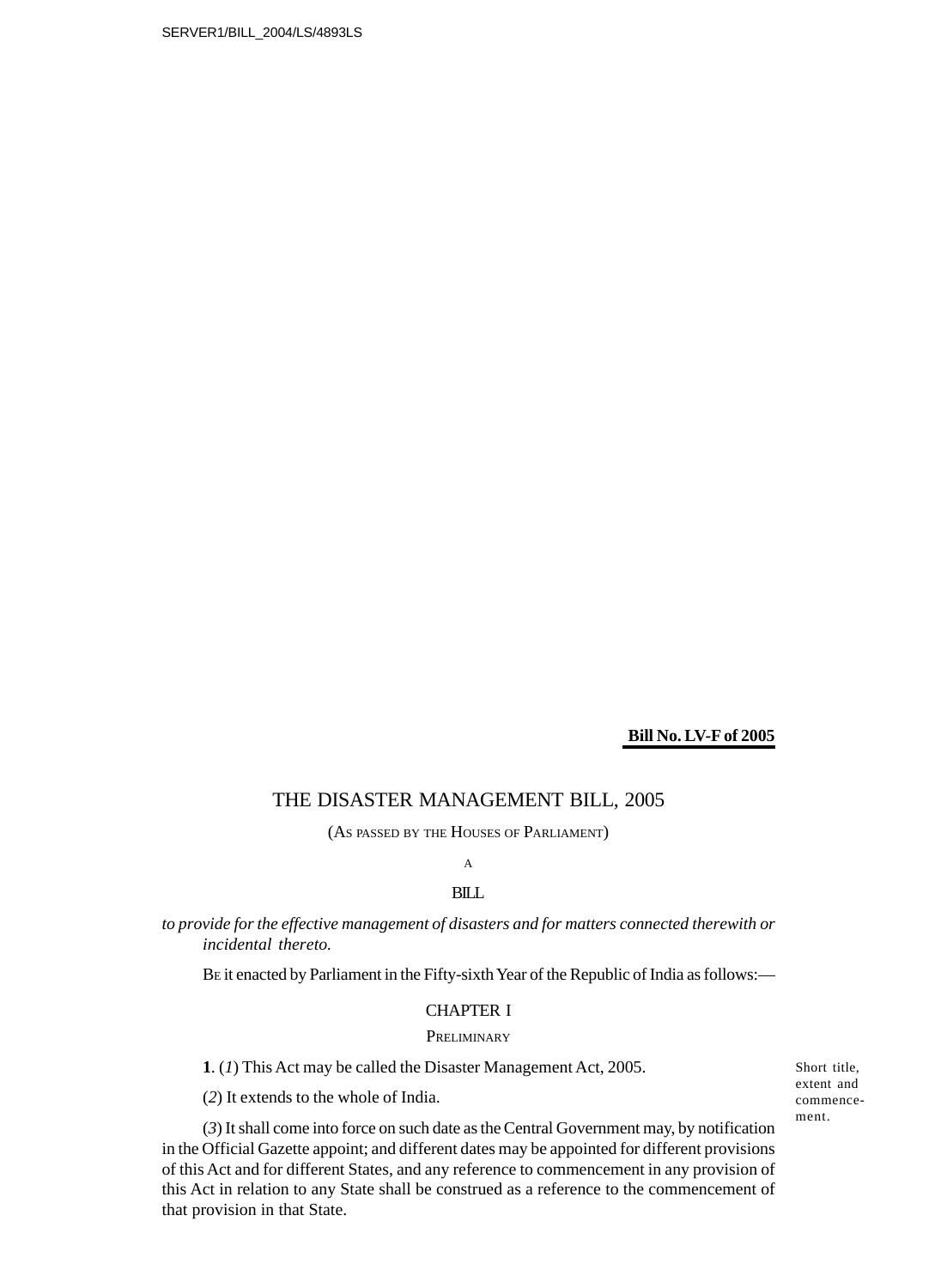## **Bill No. LV-F of 2005**

## THE DISASTER MANAGEMENT BILL, 2005

(AS PASSED BY THE HOUSES OF PARLIAMENT)

## A

## **BILL**

*to provide for the effective management of disasters and for matters connected therewith or incidental thereto.*

BE it enacted by Parliament in the Fifty-sixth Year of the Republic of India as follows:—

## CHAPTER I

## **PRELIMINARY**

**1**. (*1*) This Act may be called the Disaster Management Act, 2005.

(*2*) It extends to the whole of India.

(*3*) It shall come into force on such date as the Central Government may, by notification in the Official Gazette appoint; and different dates may be appointed for different provisions of this Act and for different States, and any reference to commencement in any provision of this Act in relation to any State shall be construed as a reference to the commencement of that provision in that State.

Short title, extent and commencement.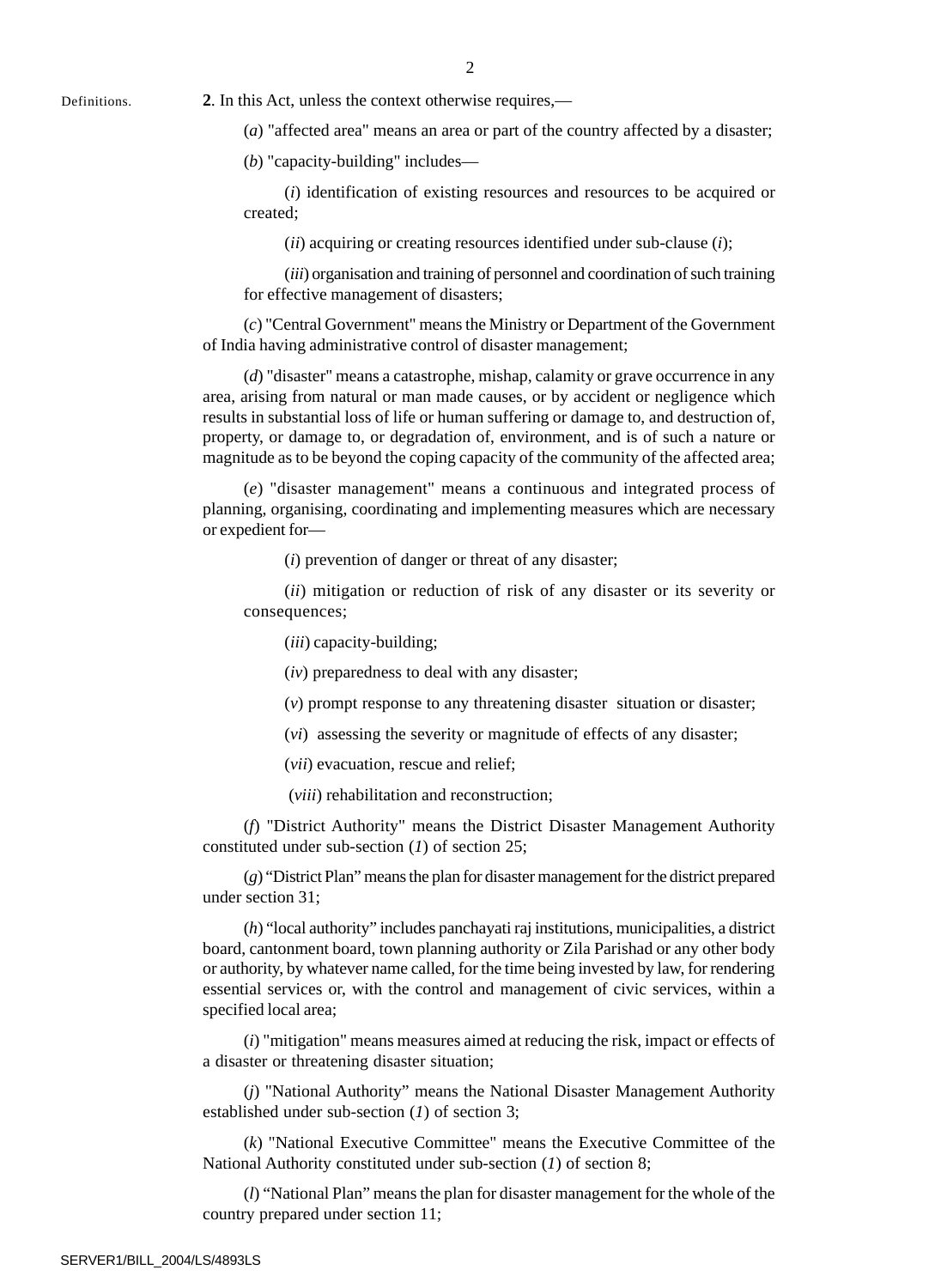Definitions. **2**. In this Act, unless the context otherwise requires,—

(*a*) "affected area" means an area or part of the country affected by a disaster;

(*b*) "capacity-building" includes—

(*i*) identification of existing resources and resources to be acquired or created;

(*ii*) acquiring or creating resources identified under sub-clause (*i*);

(*iii*) organisation and training of personnel and coordination of such training for effective management of disasters;

(*c*) "Central Government" means the Ministry or Department of the Government of India having administrative control of disaster management;

(*d*) "disaster" means a catastrophe, mishap, calamity or grave occurrence in any area, arising from natural or man made causes, or by accident or negligence which results in substantial loss of life or human suffering or damage to, and destruction of, property, or damage to, or degradation of, environment, and is of such a nature or magnitude as to be beyond the coping capacity of the community of the affected area;

(*e*) "disaster management" means a continuous and integrated process of planning, organising, coordinating and implementing measures which are necessary or expedient for—

(*i*) prevention of danger or threat of any disaster;

(*ii*) mitigation or reduction of risk of any disaster or its severity or consequences;

(*iii*) capacity-building;

(*iv*) preparedness to deal with any disaster;

(*v*) prompt response to any threatening disaster situation or disaster;

(*vi*) assessing the severity or magnitude of effects of any disaster;

(*vii*) evacuation, rescue and relief;

(*viii*) rehabilitation and reconstruction;

(*f*) "District Authority" means the District Disaster Management Authority constituted under sub-section (*1*) of section 25;

(*g*) "District Plan" means the plan for disaster management for the district prepared under section 31;

(*h*) "local authority" includes panchayati raj institutions, municipalities, a district board, cantonment board, town planning authority or Zila Parishad or any other body or authority, by whatever name called, for the time being invested by law, for rendering essential services or, with the control and management of civic services, within a specified local area;

(*i*) "mitigation" means measures aimed at reducing the risk, impact or effects of a disaster or threatening disaster situation;

(*j*) "National Authority" means the National Disaster Management Authority established under sub-section (*1*) of section 3;

(*k*) "National Executive Committee" means the Executive Committee of the National Authority constituted under sub-section (*1*) of section 8;

(*l*) "National Plan" means the plan for disaster management for the whole of the country prepared under section 11;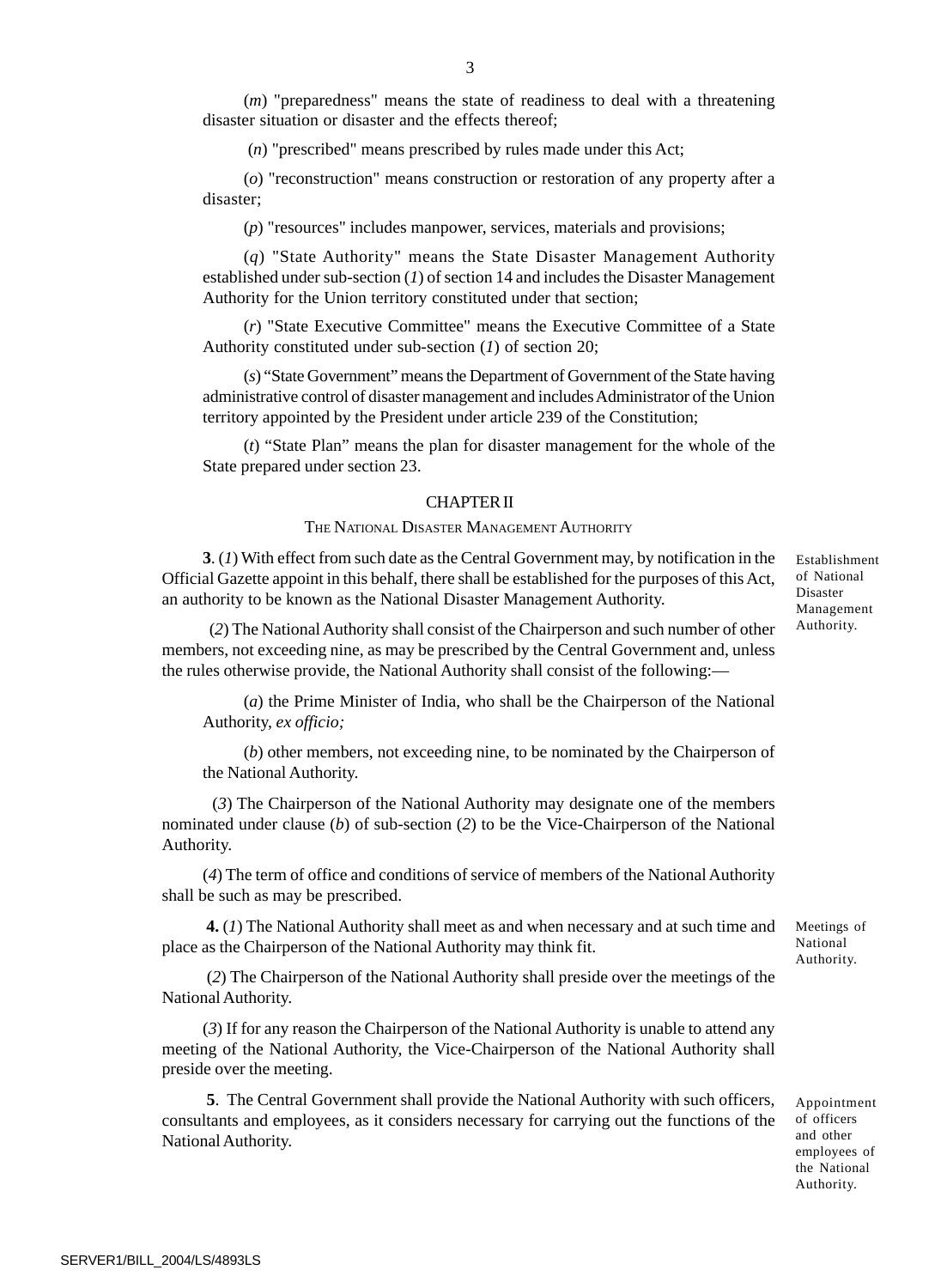(*m*) "preparedness" means the state of readiness to deal with a threatening disaster situation or disaster and the effects thereof;

(*n*) "prescribed" means prescribed by rules made under this Act;

(*o*) "reconstruction" means construction or restoration of any property after a disaster;

(*p*) "resources" includes manpower, services, materials and provisions;

(*q*) "State Authority" means the State Disaster Management Authority established under sub-section (*1*) of section 14 and includes the Disaster Management Authority for the Union territory constituted under that section;

(*r*) "State Executive Committee" means the Executive Committee of a State Authority constituted under sub-section (*1*) of section 20;

(*s*) "State Government" means the Department of Government of the State having administrative control of disaster management and includes Administrator of the Union territory appointed by the President under article 239 of the Constitution;

(*t*) "State Plan" means the plan for disaster management for the whole of the State prepared under section 23.

#### CHAPTER II

#### THE NATIONAL DISASTER MANAGEMENT AUTHORITY

**3**. (*1*) With effect from such date as the Central Government may, by notification in the Official Gazette appoint in this behalf, there shall be established for the purposes of this Act, an authority to be known as the National Disaster Management Authority.

 (*2*) The National Authority shall consist of the Chairperson and such number of other members, not exceeding nine, as may be prescribed by the Central Government and, unless the rules otherwise provide, the National Authority shall consist of the following:—

(*a*) the Prime Minister of India, who shall be the Chairperson of the National Authority, *ex officio;*

(*b*) other members, not exceeding nine, to be nominated by the Chairperson of the National Authority.

 (*3*) The Chairperson of the National Authority may designate one of the members nominated under clause (*b*) of sub-section (*2*) to be the Vice-Chairperson of the National Authority.

(*4*) The term of office and conditions of service of members of the National Authority shall be such as may be prescribed.

**4.** (*1*) The National Authority shall meet as and when necessary and at such time and place as the Chairperson of the National Authority may think fit.

 (*2*) The Chairperson of the National Authority shall preside over the meetings of the National Authority.

(*3*) If for any reason the Chairperson of the National Authority is unable to attend any meeting of the National Authority, the Vice-Chairperson of the National Authority shall preside over the meeting.

**5**. The Central Government shall provide the National Authority with such officers, consultants and employees, as it considers necessary for carrying out the functions of the National Authority.

Establishment of National Disaster Management Authority.

Appointment of officers and other employees of the National Authority.

Meetings of National Authority.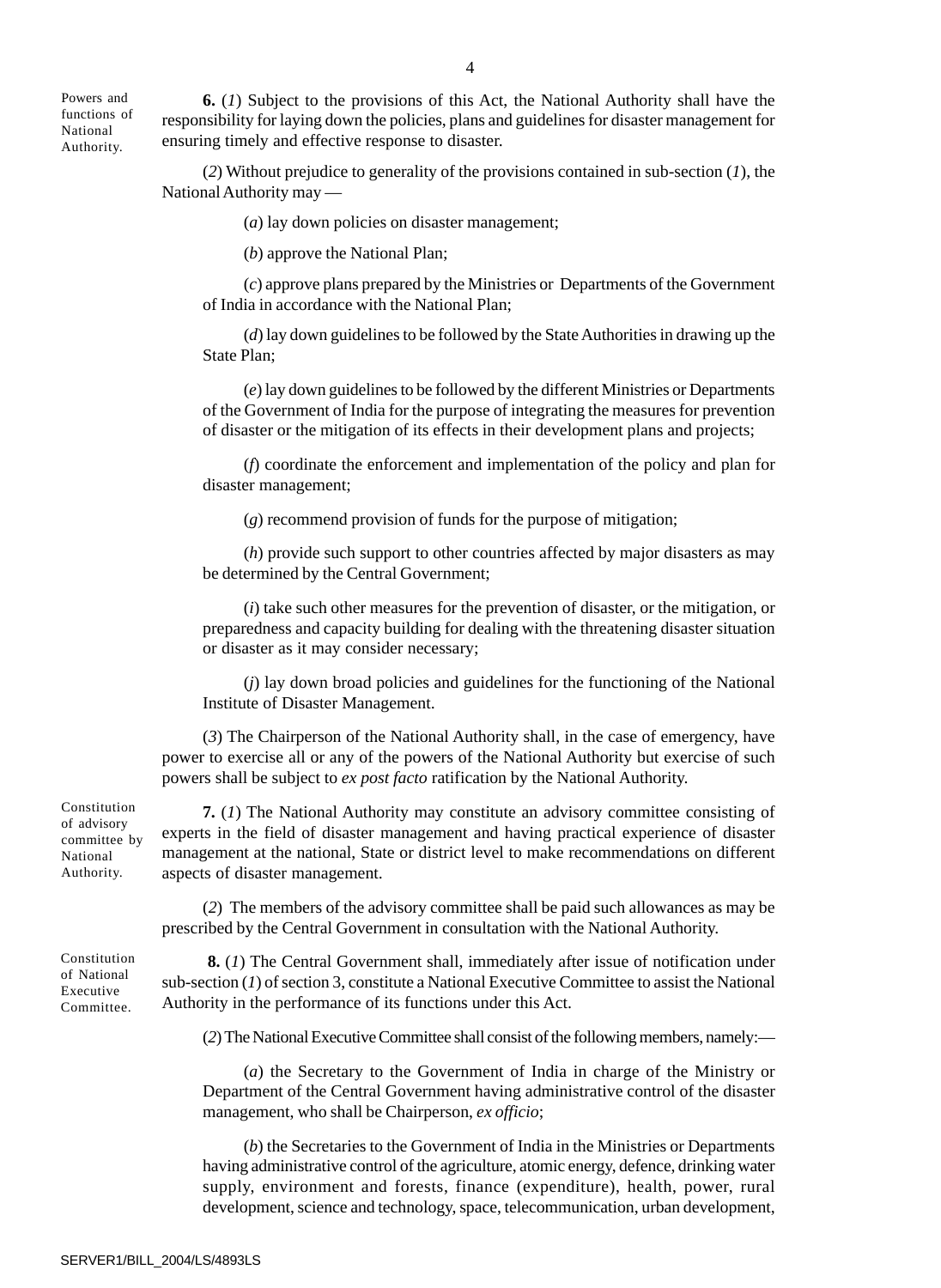4

Powers and functions of National Authority.

**6.** (*1*) Subject to the provisions of this Act, the National Authority shall have the responsibility for laying down the policies, plans and guidelines for disaster management for ensuring timely and effective response to disaster.

(*2*) Without prejudice to generality of the provisions contained in sub-section (*1*), the National Authority may —

(*a*) lay down policies on disaster management;

(*b*) approve the National Plan;

(*c*) approve plans prepared by the Ministries or Departments of the Government of India in accordance with the National Plan;

(*d*) lay down guidelines to be followed by the State Authorities in drawing up the State Plan;

(*e*) lay down guidelines to be followed by the different Ministries or Departments of the Government of India for the purpose of integrating the measures for prevention of disaster or the mitigation of its effects in their development plans and projects;

(*f*) coordinate the enforcement and implementation of the policy and plan for disaster management;

(*g*) recommend provision of funds for the purpose of mitigation;

(*h*) provide such support to other countries affected by major disasters as may be determined by the Central Government;

(*i*) take such other measures for the prevention of disaster, or the mitigation, or preparedness and capacity building for dealing with the threatening disaster situation or disaster as it may consider necessary;

(*j*) lay down broad policies and guidelines for the functioning of the National Institute of Disaster Management.

(*3*) The Chairperson of the National Authority shall, in the case of emergency, have power to exercise all or any of the powers of the National Authority but exercise of such powers shall be subject to *ex post facto* ratification by the National Authority.

**7.** (*1*) The National Authority may constitute an advisory committee consisting of experts in the field of disaster management and having practical experience of disaster management at the national, State or district level to make recommendations on different aspects of disaster management.

(*2*) The members of the advisory committee shall be paid such allowances as may be prescribed by the Central Government in consultation with the National Authority.

 **8.** (*1*) The Central Government shall, immediately after issue of notification under sub-section (*1*) of section 3, constitute a National Executive Committee to assist the National Authority in the performance of its functions under this Act.

(*2*) The National Executive Committee shall consist of the following members, namely:—

(*a*) the Secretary to the Government of India in charge of the Ministry or Department of the Central Government having administrative control of the disaster management, who shall be Chairperson, *ex officio*;

(*b*) the Secretaries to the Government of India in the Ministries or Departments having administrative control of the agriculture, atomic energy, defence, drinking water supply, environment and forests, finance (expenditure), health, power, rural development, science and technology, space, telecommunication, urban development,

Constitution of advisory committee by National Authority.

Constitution of National Executive Committee.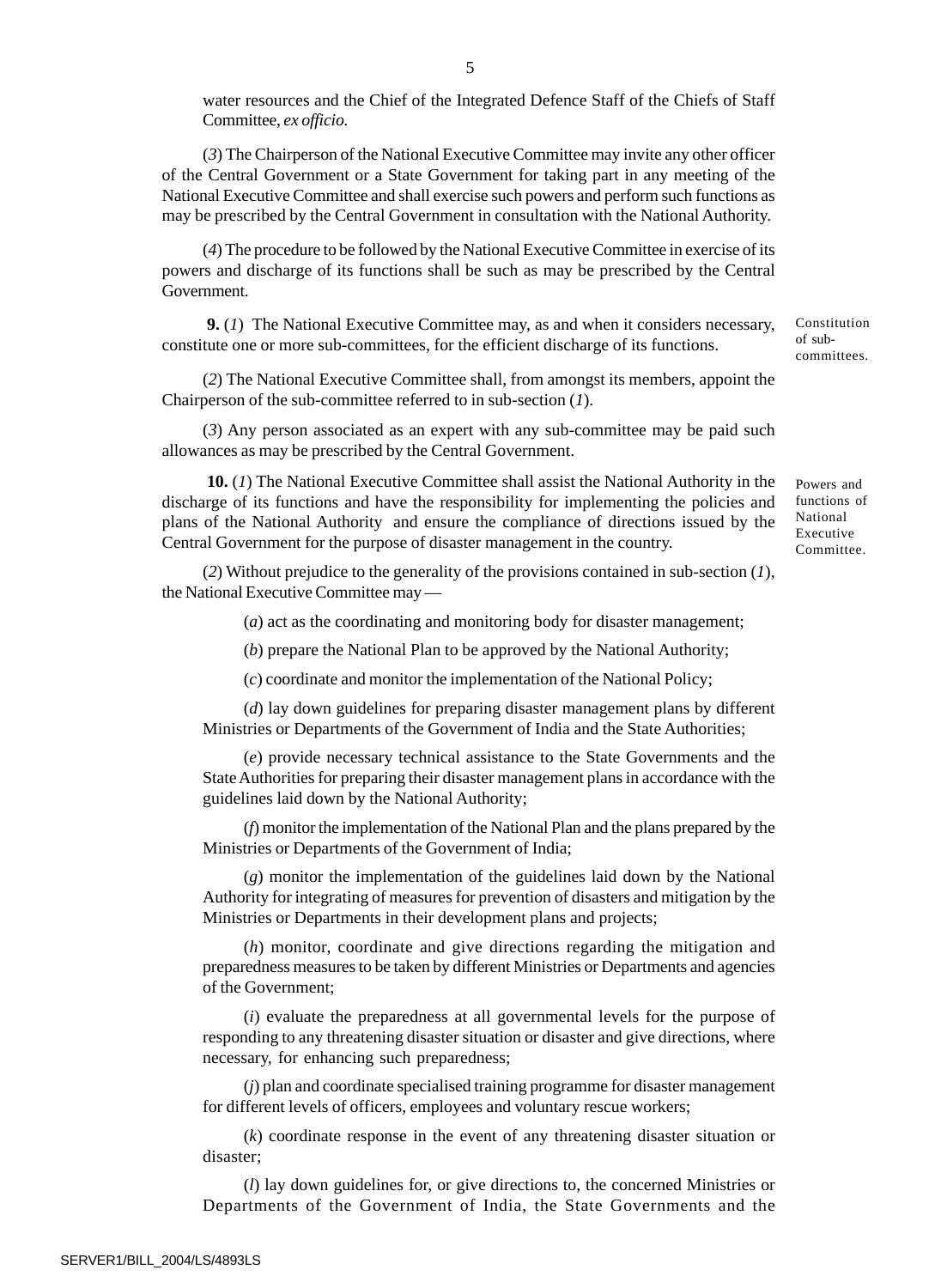water resources and the Chief of the Integrated Defence Staff of the Chiefs of Staff Committee, *ex officio.*

(*3*) The Chairperson of the National Executive Committee may invite any other officer of the Central Government or a State Government for taking part in any meeting of the National Executive Committee and shall exercise such powers and perform such functions as may be prescribed by the Central Government in consultation with the National Authority.

(*4*) The procedure to be followed by the National Executive Committee in exercise of its powers and discharge of its functions shall be such as may be prescribed by the Central Government.

 **9.** (*1*) The National Executive Committee may, as and when it considers necessary, constitute one or more sub-committees, for the efficient discharge of its functions.

(*2*) The National Executive Committee shall, from amongst its members, appoint the Chairperson of the sub-committee referred to in sub-section (*1*).

(*3*) Any person associated as an expert with any sub-committee may be paid such allowances as may be prescribed by the Central Government.

 **10.** (*1*) The National Executive Committee shall assist the National Authority in the discharge of its functions and have the responsibility for implementing the policies and plans of the National Authority and ensure the compliance of directions issued by the Central Government for the purpose of disaster management in the country.

(*2*) Without prejudice to the generality of the provisions contained in sub-section (*1*), the National Executive Committee may —

(*a*) act as the coordinating and monitoring body for disaster management;

(*b*) prepare the National Plan to be approved by the National Authority;

(*c*) coordinate and monitor the implementation of the National Policy;

(*d*) lay down guidelines for preparing disaster management plans by different Ministries or Departments of the Government of India and the State Authorities;

(*e*) provide necessary technical assistance to the State Governments and the State Authorities for preparing their disaster management plans in accordance with the guidelines laid down by the National Authority;

(*f*) monitor the implementation of the National Plan and the plans prepared by the Ministries or Departments of the Government of India;

(*g*) monitor the implementation of the guidelines laid down by the National Authority for integrating of measures for prevention of disasters and mitigation by the Ministries or Departments in their development plans and projects;

(*h*) monitor, coordinate and give directions regarding the mitigation and preparedness measures to be taken by different Ministries or Departments and agencies of the Government;

(*i*) evaluate the preparedness at all governmental levels for the purpose of responding to any threatening disaster situation or disaster and give directions, where necessary, for enhancing such preparedness;

(*j*) plan and coordinate specialised training programme for disaster management for different levels of officers, employees and voluntary rescue workers;

(*k*) coordinate response in the event of any threatening disaster situation or disaster;

(*l*) lay down guidelines for, or give directions to, the concerned Ministries or Departments of the Government of India, the State Governments and the

Powers and functions of National Executive Committee.

Constitution of subcommittees.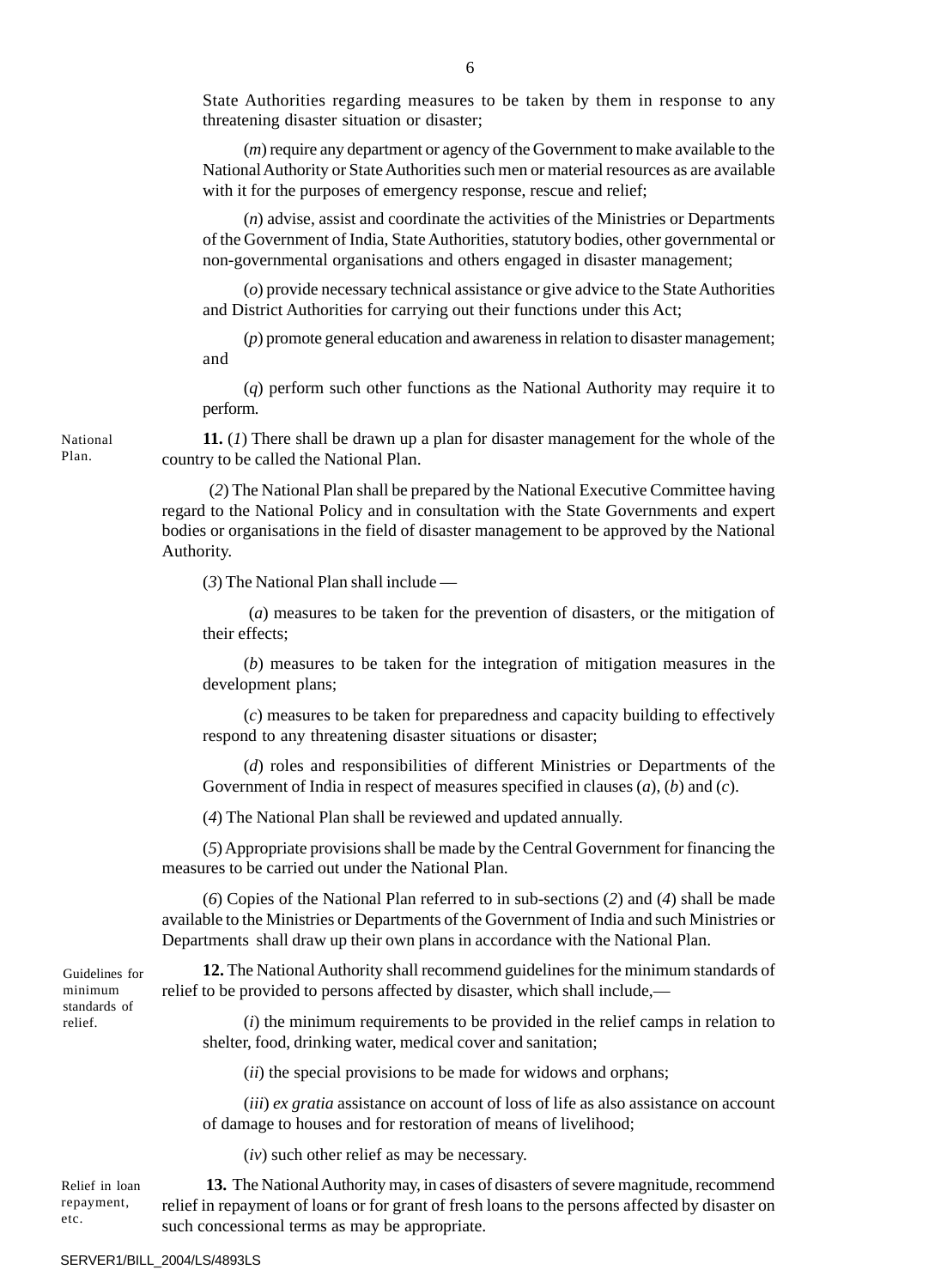State Authorities regarding measures to be taken by them in response to any threatening disaster situation or disaster;

(*m*) require any department or agency of the Government to make available to the National Authority or State Authorities such men or material resources as are available with it for the purposes of emergency response, rescue and relief;

(*n*) advise, assist and coordinate the activities of the Ministries or Departments of the Government of India, State Authorities, statutory bodies, other governmental or non-governmental organisations and others engaged in disaster management;

(*o*) provide necessary technical assistance or give advice to the State Authorities and District Authorities for carrying out their functions under this Act;

(*p*) promote general education and awareness in relation to disaster management; and

(*q*) perform such other functions as the National Authority may require it to perform.

**11.** (*1*) There shall be drawn up a plan for disaster management for the whole of the country to be called the National Plan.

 (*2*) The National Plan shall be prepared by the National Executive Committee having regard to the National Policy and in consultation with the State Governments and expert bodies or organisations in the field of disaster management to be approved by the National Authority.

(*3*) The National Plan shall include —

 (*a*) measures to be taken for the prevention of disasters, or the mitigation of their effects;

(*b*) measures to be taken for the integration of mitigation measures in the development plans;

(*c*) measures to be taken for preparedness and capacity building to effectively respond to any threatening disaster situations or disaster;

(*d*) roles and responsibilities of different Ministries or Departments of the Government of India in respect of measures specified in clauses (*a*), (*b*) and (*c*).

(*4*) The National Plan shall be reviewed and updated annually.

(*5*) Appropriate provisions shall be made by the Central Government for financing the measures to be carried out under the National Plan.

(*6*) Copies of the National Plan referred to in sub-sections (*2*) and (*4*) shall be made available to the Ministries or Departments of the Government of India and such Ministries or Departments shall draw up their own plans in accordance with the National Plan.

Guidelines for minimum standards of relief.

**12.** The National Authority shall recommend guidelines for the minimum standards of relief to be provided to persons affected by disaster, which shall include,—

(*i*) the minimum requirements to be provided in the relief camps in relation to shelter, food, drinking water, medical cover and sanitation;

(*ii*) the special provisions to be made for widows and orphans;

(*iii*) *ex gratia* assistance on account of loss of life as also assistance on account of damage to houses and for restoration of means of livelihood;

(*iv*) such other relief as may be necessary.

 **13.** The National Authority may, in cases of disasters of severe magnitude, recommend relief in repayment of loans or for grant of fresh loans to the persons affected by disaster on such concessional terms as may be appropriate. Relief in loan repayment, etc.

National Plan.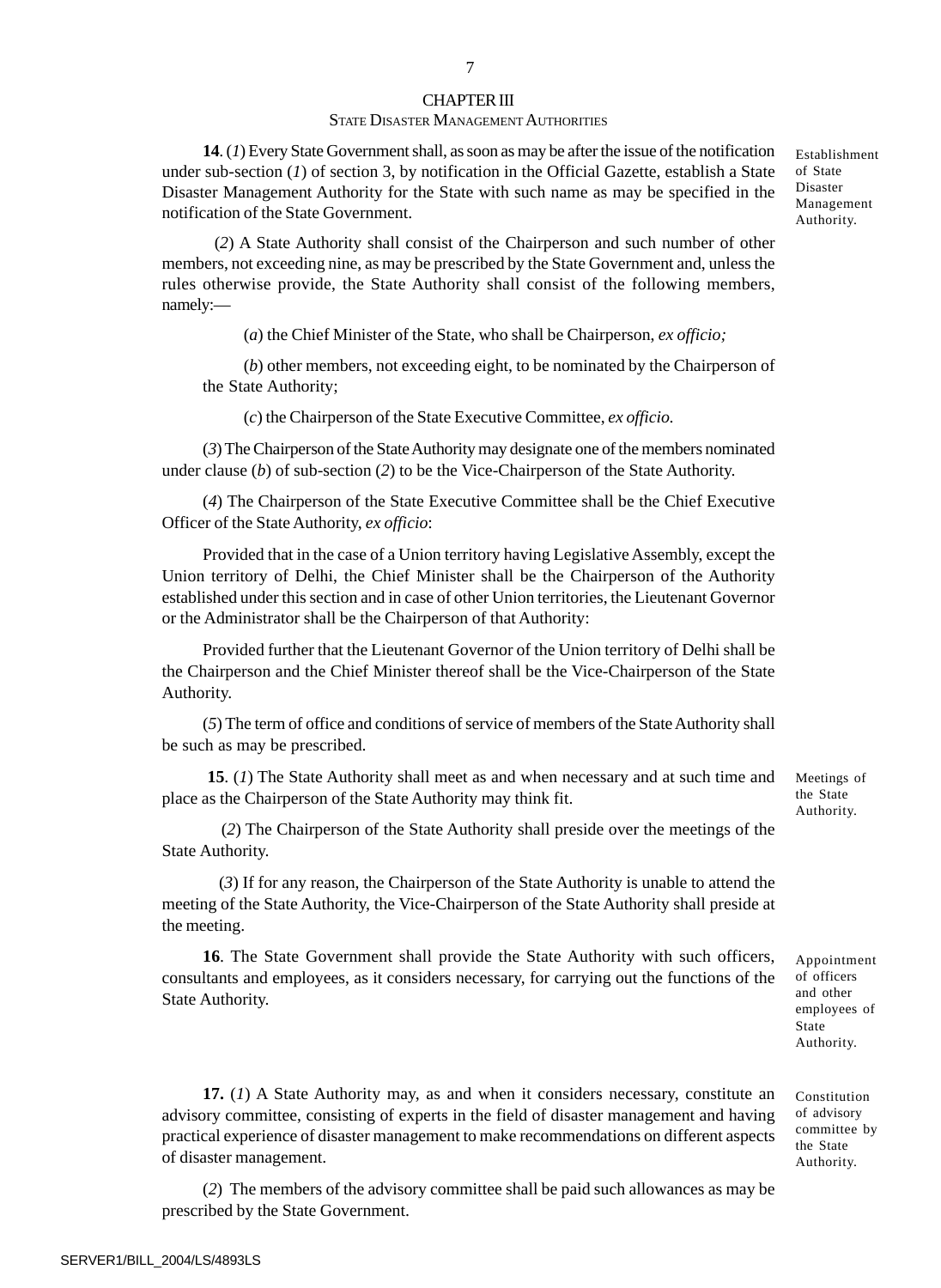## 7

#### CHAPTER III

#### STATE DISASTER MANAGEMENT AUTHORITIES

**14**. (*1*) Every State Government shall, as soon as may be after the issue of the notification under sub-section (*1*) of section 3, by notification in the Official Gazette, establish a State Disaster Management Authority for the State with such name as may be specified in the notification of the State Government.

 (*2*) A State Authority shall consist of the Chairperson and such number of other members, not exceeding nine, as may be prescribed by the State Government and, unless the rules otherwise provide, the State Authority shall consist of the following members, namely:—

(*a*) the Chief Minister of the State, who shall be Chairperson, *ex officio;*

(*b*) other members, not exceeding eight, to be nominated by the Chairperson of the State Authority;

(*c*) the Chairperson of the State Executive Committee, *ex officio.*

(*3*) The Chairperson of the State Authority may designate one of the members nominated under clause (*b*) of sub-section (*2*) to be the Vice-Chairperson of the State Authority.

(*4*) The Chairperson of the State Executive Committee shall be the Chief Executive Officer of the State Authority, *ex officio*:

Provided that in the case of a Union territory having Legislative Assembly, except the Union territory of Delhi, the Chief Minister shall be the Chairperson of the Authority established under this section and in case of other Union territories, the Lieutenant Governor or the Administrator shall be the Chairperson of that Authority:

Provided further that the Lieutenant Governor of the Union territory of Delhi shall be the Chairperson and the Chief Minister thereof shall be the Vice-Chairperson of the State Authority.

(*5*) The term of office and conditions of service of members of the State Authority shall be such as may be prescribed.

**15**. (*1*) The State Authority shall meet as and when necessary and at such time and place as the Chairperson of the State Authority may think fit.

 (*2*) The Chairperson of the State Authority shall preside over the meetings of the State Authority.

 (*3*) If for any reason, the Chairperson of the State Authority is unable to attend the meeting of the State Authority, the Vice-Chairperson of the State Authority shall preside at the meeting.

**16**. The State Government shall provide the State Authority with such officers, consultants and employees, as it considers necessary, for carrying out the functions of the State Authority.

the State Authority.

Appointment of officers and other employees of State Authority.

**17.** (*1*) A State Authority may, as and when it considers necessary, constitute an advisory committee, consisting of experts in the field of disaster management and having practical experience of disaster management to make recommendations on different aspects of disaster management.

(*2*) The members of the advisory committee shall be paid such allowances as may be prescribed by the State Government.

SERVER1/BILL\_2004/LS/4893LS

Establishment of State Disaster Management Authority.

Meetings of

Constitution of advisory committee by the State Authority.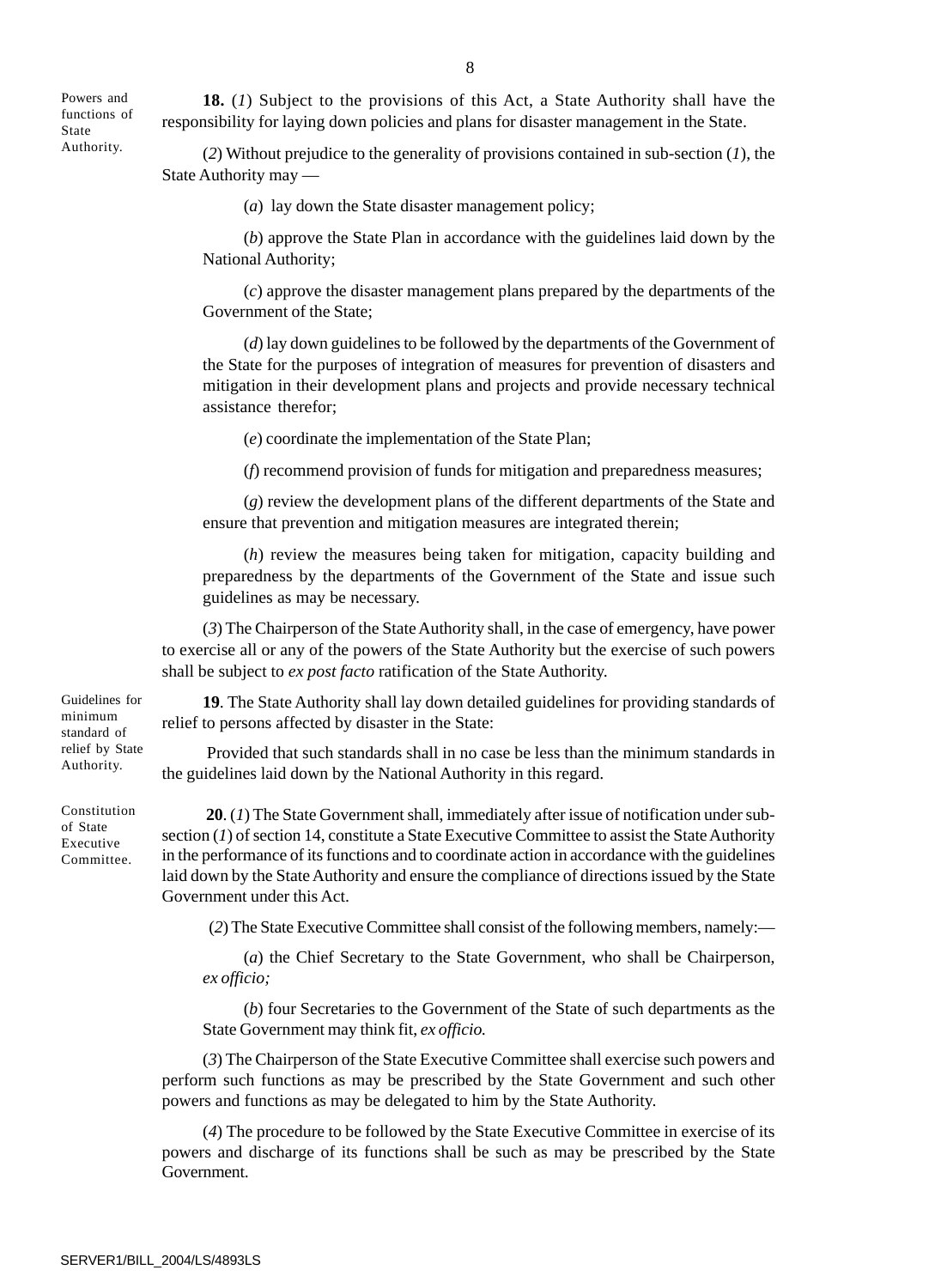Powers and functions of State Authority.

**18.** (*1*) Subject to the provisions of this Act, a State Authority shall have the responsibility for laying down policies and plans for disaster management in the State.

(*2*) Without prejudice to the generality of provisions contained in sub-section (*1*), the State Authority may —

(*a*) lay down the State disaster management policy;

(*b*) approve the State Plan in accordance with the guidelines laid down by the National Authority;

(*c*) approve the disaster management plans prepared by the departments of the Government of the State;

(*d*) lay down guidelines to be followed by the departments of the Government of the State for the purposes of integration of measures for prevention of disasters and mitigation in their development plans and projects and provide necessary technical assistance therefor;

(*e*) coordinate the implementation of the State Plan;

(*f*) recommend provision of funds for mitigation and preparedness measures;

(*g*) review the development plans of the different departments of the State and ensure that prevention and mitigation measures are integrated therein;

(*h*) review the measures being taken for mitigation, capacity building and preparedness by the departments of the Government of the State and issue such guidelines as may be necessary.

(*3*) The Chairperson of the State Authority shall, in the case of emergency, have power to exercise all or any of the powers of the State Authority but the exercise of such powers shall be subject to *ex post facto* ratification of the State Authority.

**19**. The State Authority shall lay down detailed guidelines for providing standards of relief to persons affected by disaster in the State:

 Provided that such standards shall in no case be less than the minimum standards in the guidelines laid down by the National Authority in this regard.

**20**. (*1*) The State Government shall, immediately after issue of notification under subsection (*1*) of section 14, constitute a State Executive Committee to assist the State Authority in the performance of its functions and to coordinate action in accordance with the guidelines laid down by the State Authority and ensure the compliance of directions issued by the State Government under this Act.

(*2*) The State Executive Committee shall consist of the following members, namely:—

(*a*) the Chief Secretary to the State Government, who shall be Chairperson, *ex officio;*

(*b*) four Secretaries to the Government of the State of such departments as the State Government may think fit, *ex officio.*

(*3*) The Chairperson of the State Executive Committee shall exercise such powers and perform such functions as may be prescribed by the State Government and such other powers and functions as may be delegated to him by the State Authority.

(*4*) The procedure to be followed by the State Executive Committee in exercise of its powers and discharge of its functions shall be such as may be prescribed by the State Government.

Guidelines for minimum standard of relief by State Authority.

Constitution of State Executive Committee.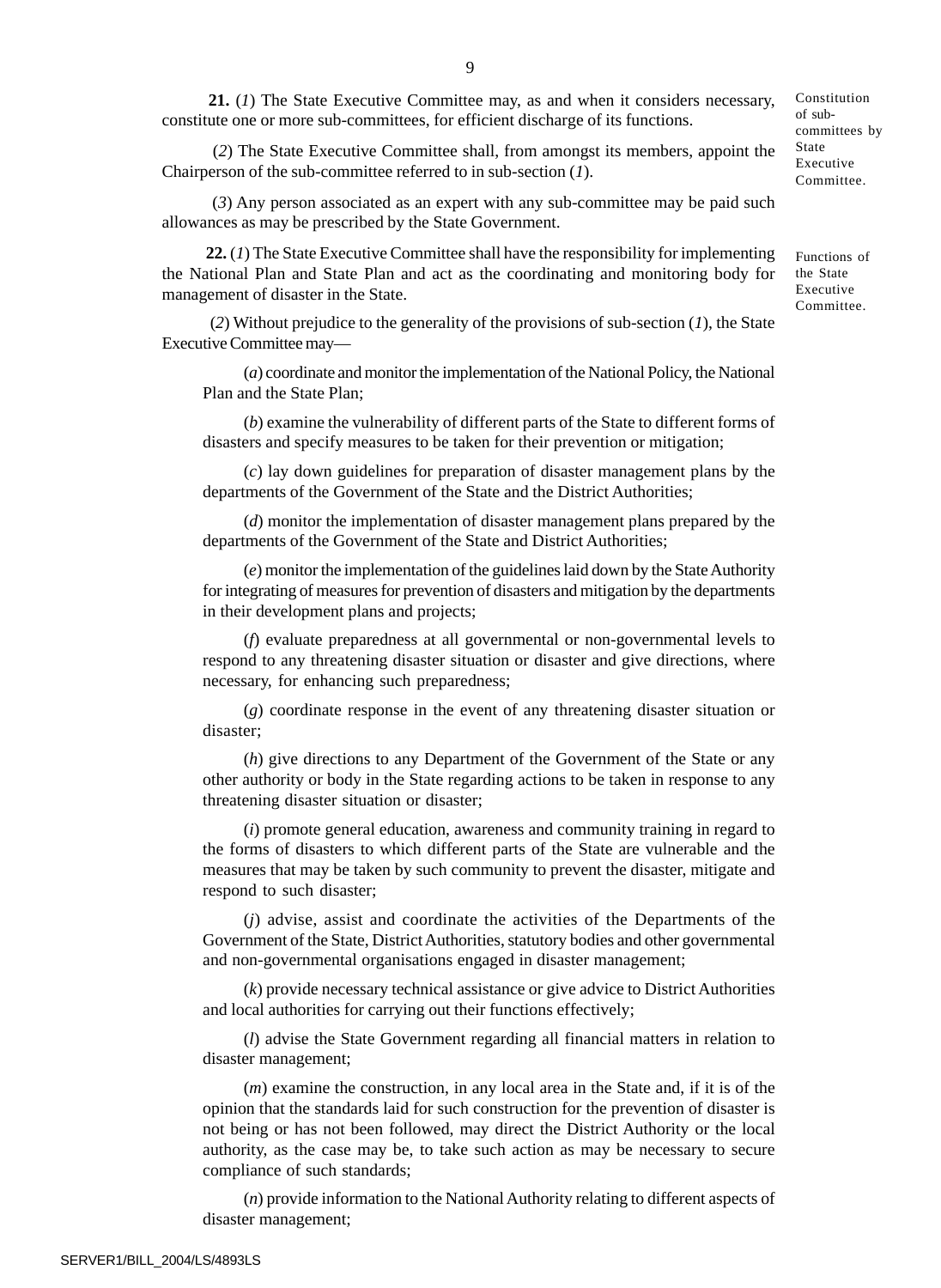**21.** (*1*) The State Executive Committee may, as and when it considers necessary, constitute one or more sub-committees, for efficient discharge of its functions. Constitution

 (*2*) The State Executive Committee shall, from amongst its members, appoint the Chairperson of the sub-committee referred to in sub-section (*1*).

 (*3*) Any person associated as an expert with any sub-committee may be paid such allowances as may be prescribed by the State Government.

 **22.** (*1*) The State Executive Committee shall have the responsibility for implementing the National Plan and State Plan and act as the coordinating and monitoring body for management of disaster in the State.

 (*2*) Without prejudice to the generality of the provisions of sub-section (*1*), the State Executive Committee may—

(*a*) coordinate and monitor the implementation of the National Policy, the National Plan and the State Plan;

(*b*) examine the vulnerability of different parts of the State to different forms of disasters and specify measures to be taken for their prevention or mitigation;

(*c*) lay down guidelines for preparation of disaster management plans by the departments of the Government of the State and the District Authorities;

(*d*) monitor the implementation of disaster management plans prepared by the departments of the Government of the State and District Authorities;

(*e*) monitor the implementation of the guidelines laid down by the State Authority for integrating of measures for prevention of disasters and mitigation by the departments in their development plans and projects;

(*f*) evaluate preparedness at all governmental or non-governmental levels to respond to any threatening disaster situation or disaster and give directions, where necessary, for enhancing such preparedness;

(*g*) coordinate response in the event of any threatening disaster situation or disaster;

(*h*) give directions to any Department of the Government of the State or any other authority or body in the State regarding actions to be taken in response to any threatening disaster situation or disaster;

(*i*) promote general education, awareness and community training in regard to the forms of disasters to which different parts of the State are vulnerable and the measures that may be taken by such community to prevent the disaster, mitigate and respond to such disaster;

(*j*) advise, assist and coordinate the activities of the Departments of the Government of the State, District Authorities, statutory bodies and other governmental and non-governmental organisations engaged in disaster management;

(*k*) provide necessary technical assistance or give advice to District Authorities and local authorities for carrying out their functions effectively;

(*l*) advise the State Government regarding all financial matters in relation to disaster management;

(*m*) examine the construction, in any local area in the State and, if it is of the opinion that the standards laid for such construction for the prevention of disaster is not being or has not been followed, may direct the District Authority or the local authority, as the case may be, to take such action as may be necessary to secure compliance of such standards;

(*n*) provide information to the National Authority relating to different aspects of disaster management;

of subcommittees by State Executive Committee.

Functions of the State Executive Committee.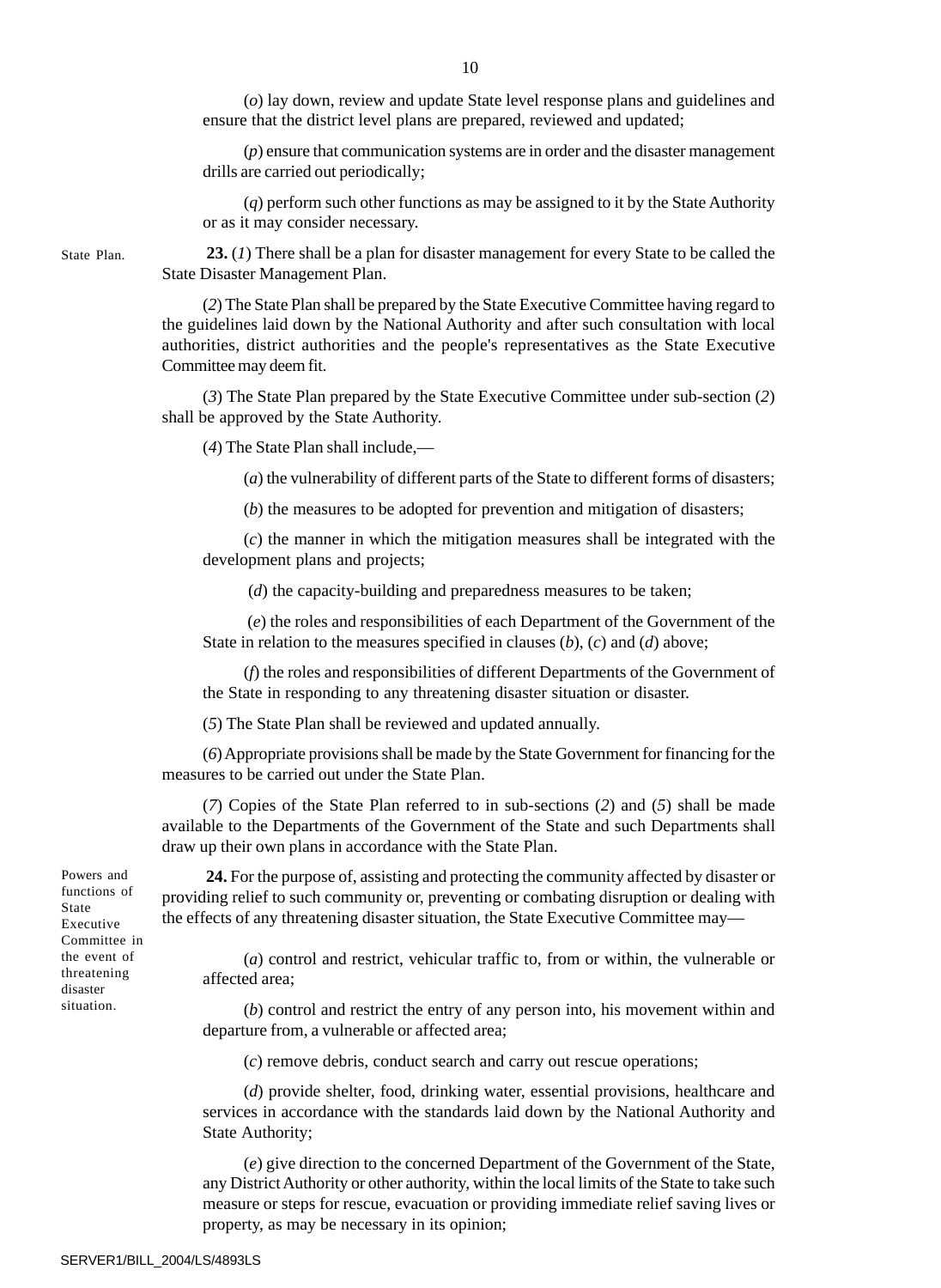(*o*) lay down, review and update State level response plans and guidelines and ensure that the district level plans are prepared, reviewed and updated;

(*p*) ensure that communication systems are in order and the disaster management drills are carried out periodically;

(*q*) perform such other functions as may be assigned to it by the State Authority or as it may consider necessary.

 **23.** (*1*) There shall be a plan for disaster management for every State to be called the State Disaster Management Plan.

(*2*) The State Plan shall be prepared by the State Executive Committee having regard to the guidelines laid down by the National Authority and after such consultation with local authorities, district authorities and the people's representatives as the State Executive Committee may deem fit.

(*3*) The State Plan prepared by the State Executive Committee under sub-section (*2*) shall be approved by the State Authority.

(*4*) The State Plan shall include,—

(*a*) the vulnerability of different parts of the State to different forms of disasters;

(*b*) the measures to be adopted for prevention and mitigation of disasters;

(*c*) the manner in which the mitigation measures shall be integrated with the development plans and projects;

(*d*) the capacity-building and preparedness measures to be taken;

 (*e*) the roles and responsibilities of each Department of the Government of the State in relation to the measures specified in clauses (*b*), (*c*) and (*d*) above;

(*f*) the roles and responsibilities of different Departments of the Government of the State in responding to any threatening disaster situation or disaster.

(*5*) The State Plan shall be reviewed and updated annually.

(*6*) Appropriate provisions shall be made by the State Government for financing for the measures to be carried out under the State Plan.

(*7*) Copies of the State Plan referred to in sub-sections (*2*) and (*5*) shall be made available to the Departments of the Government of the State and such Departments shall draw up their own plans in accordance with the State Plan.

Powers and functions of State Executive Committee in the event of threatening disaster situation.

State Plan.

**24.** For the purpose of, assisting and protecting the community affected by disaster or providing relief to such community or, preventing or combating disruption or dealing with the effects of any threatening disaster situation, the State Executive Committee may—

(*a*) control and restrict, vehicular traffic to, from or within, the vulnerable or affected area;

(*b*) control and restrict the entry of any person into, his movement within and departure from, a vulnerable or affected area;

(*c*) remove debris, conduct search and carry out rescue operations;

(*d*) provide shelter, food, drinking water, essential provisions, healthcare and services in accordance with the standards laid down by the National Authority and State Authority;

(*e*) give direction to the concerned Department of the Government of the State, any District Authority or other authority, within the local limits of the State to take such measure or steps for rescue, evacuation or providing immediate relief saving lives or property, as may be necessary in its opinion;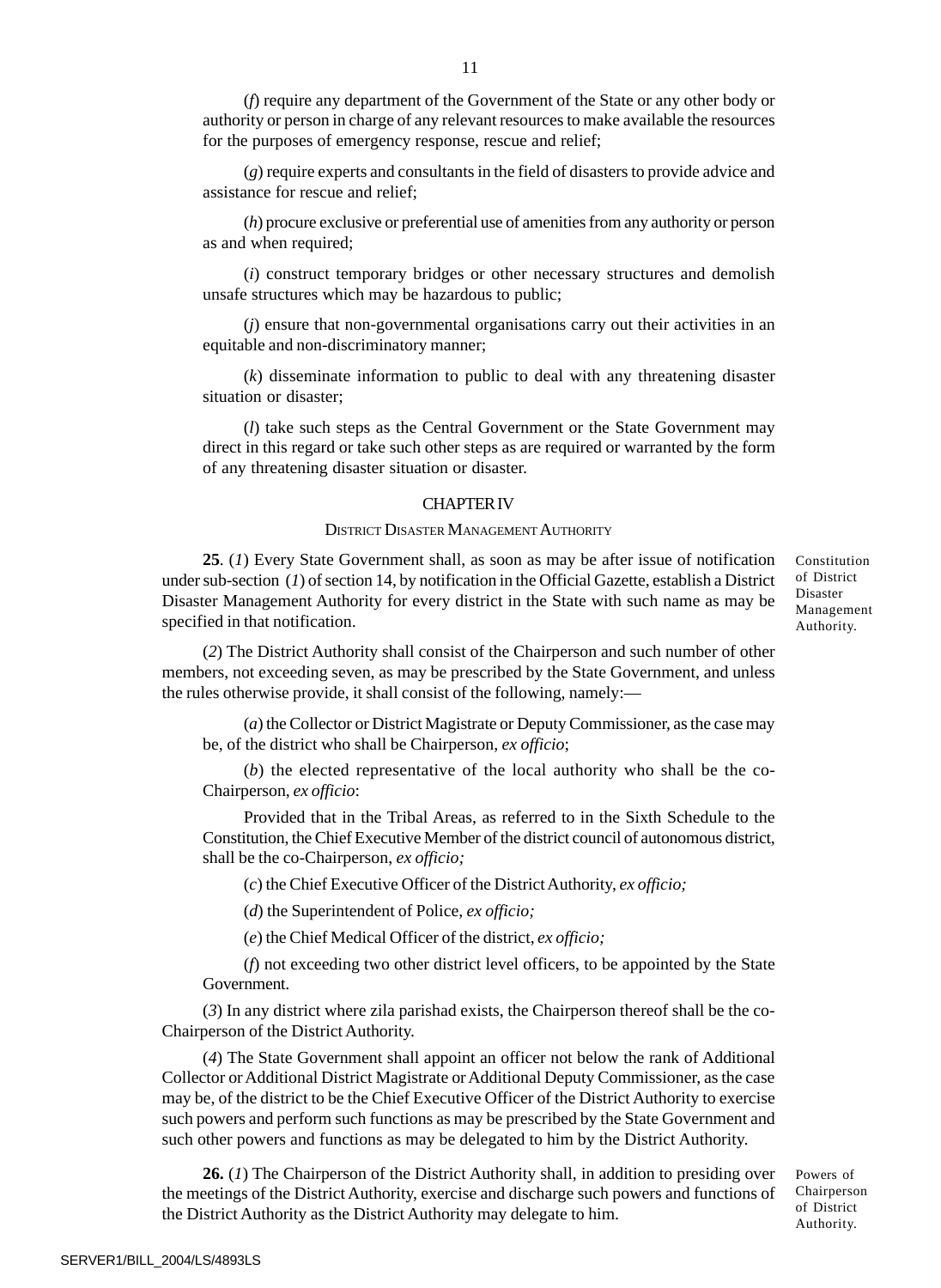(*f*) require any department of the Government of the State or any other body or authority or person in charge of any relevant resources to make available the resources for the purposes of emergency response, rescue and relief;

(*g*) require experts and consultants in the field of disasters to provide advice and assistance for rescue and relief;

(*h*) procure exclusive or preferential use of amenities from any authority or person as and when required;

(*i*) construct temporary bridges or other necessary structures and demolish unsafe structures which may be hazardous to public;

(*j*) ensure that non-governmental organisations carry out their activities in an equitable and non-discriminatory manner;

(*k*) disseminate information to public to deal with any threatening disaster situation or disaster;

(*l*) take such steps as the Central Government or the State Government may direct in this regard or take such other steps as are required or warranted by the form of any threatening disaster situation or disaster.

## CHAPTER IV

#### DISTRICT DISASTER MANAGEMENT AUTHORITY

**25**. (*1*) Every State Government shall, as soon as may be after issue of notification under sub-section (*1*) of section 14, by notification in the Official Gazette, establish a District Disaster Management Authority for every district in the State with such name as may be specified in that notification.

Disaster Management Authority.

Constitution of District

(*2*) The District Authority shall consist of the Chairperson and such number of other members, not exceeding seven, as may be prescribed by the State Government, and unless the rules otherwise provide, it shall consist of the following, namely:—

(*a*) the Collector or District Magistrate or Deputy Commissioner, as the case may be, of the district who shall be Chairperson, *ex officio*;

(*b*) the elected representative of the local authority who shall be the co-Chairperson, *ex officio*:

Provided that in the Tribal Areas, as referred to in the Sixth Schedule to the Constitution, the Chief Executive Member of the district council of autonomous district, shall be the co-Chairperson, *ex officio;*

(*c*) the Chief Executive Officer of the District Authority, *ex officio;*

(*d*) the Superintendent of Police, *ex officio;*

(*e*) the Chief Medical Officer of the district, *ex officio;*

(*f*) not exceeding two other district level officers, to be appointed by the State Government.

(*3*) In any district where zila parishad exists, the Chairperson thereof shall be the co-Chairperson of the District Authority.

(*4*) The State Government shall appoint an officer not below the rank of Additional Collector or Additional District Magistrate or Additional Deputy Commissioner, as the case may be, of the district to be the Chief Executive Officer of the District Authority to exercise such powers and perform such functions as may be prescribed by the State Government and such other powers and functions as may be delegated to him by the District Authority.

**26.** (*1*) The Chairperson of the District Authority shall, in addition to presiding over the meetings of the District Authority, exercise and discharge such powers and functions of the District Authority as the District Authority may delegate to him.

Powers of Chairperson of District Authority.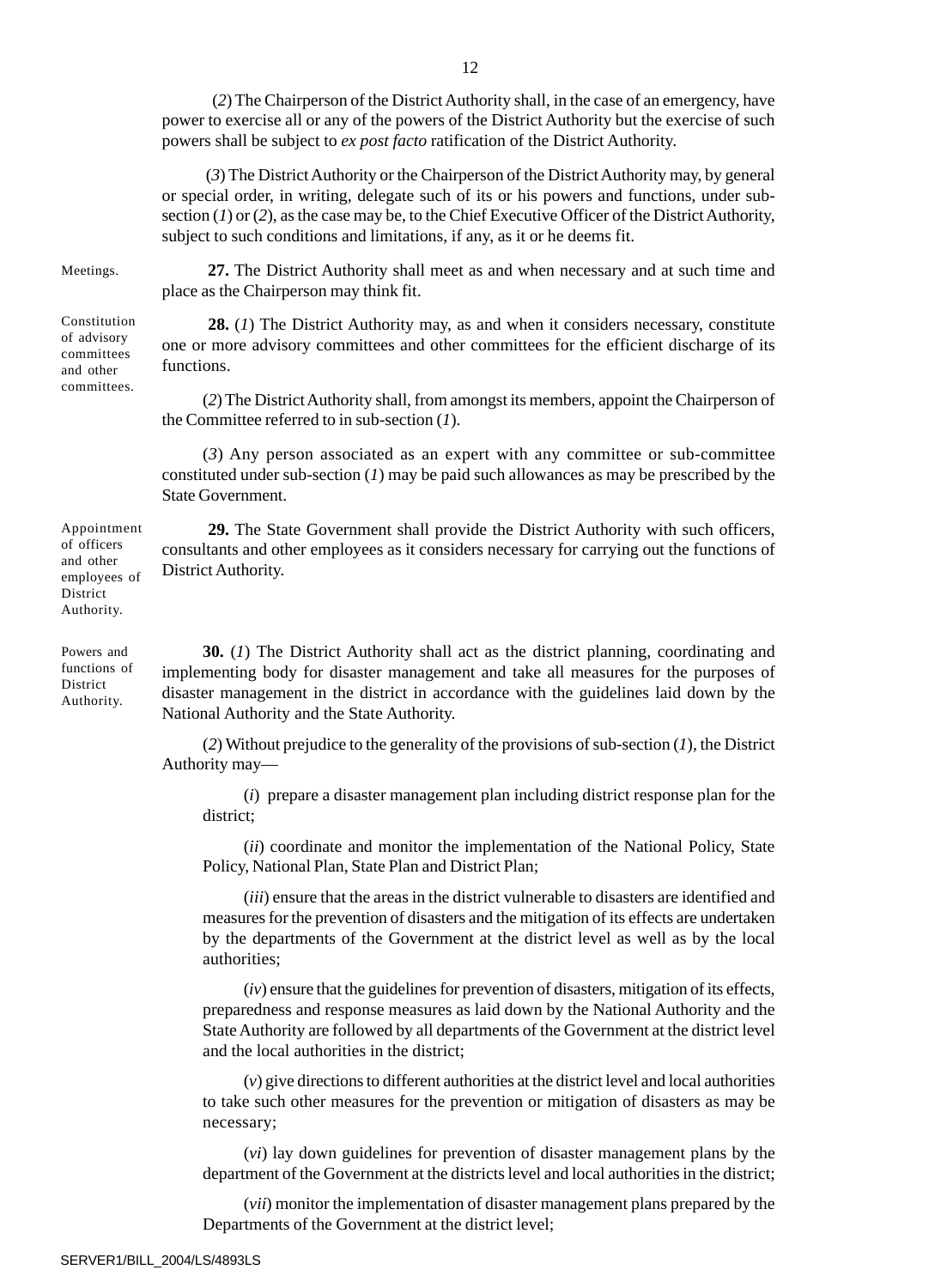(*2*) The Chairperson of the District Authority shall, in the case of an emergency, have power to exercise all or any of the powers of the District Authority but the exercise of such powers shall be subject to *ex post facto* ratification of the District Authority.

 (*3*) The District Authority or the Chairperson of the District Authority may, by general or special order, in writing, delegate such of its or his powers and functions, under subsection (*1*) or (*2*), as the case may be, to the Chief Executive Officer of the District Authority, subject to such conditions and limitations, if any, as it or he deems fit.

Meetings.

Constitution of advisory committees and other committees.

**27.** The District Authority shall meet as and when necessary and at such time and place as the Chairperson may think fit.

**28.** (*1*) The District Authority may, as and when it considers necessary, constitute one or more advisory committees and other committees for the efficient discharge of its functions.

(*2*) The District Authority shall, from amongst its members, appoint the Chairperson of the Committee referred to in sub-section (*1*).

(*3*) Any person associated as an expert with any committee or sub-committee constituted under sub-section (*1*) may be paid such allowances as may be prescribed by the State Government.

**29.** The State Government shall provide the District Authority with such officers, consultants and other employees as it considers necessary for carrying out the functions of District Authority.

Powers and functions of District Authority.

Appointment of officers and other employees of District Authority.

> **30.** (*1*) The District Authority shall act as the district planning, coordinating and implementing body for disaster management and take all measures for the purposes of disaster management in the district in accordance with the guidelines laid down by the National Authority and the State Authority.

> (*2*) Without prejudice to the generality of the provisions of sub-section (*1*), the District Authority may—

(*i*) prepare a disaster management plan including district response plan for the district;

(*ii*) coordinate and monitor the implementation of the National Policy, State Policy, National Plan, State Plan and District Plan;

(*iii*) ensure that the areas in the district vulnerable to disasters are identified and measures for the prevention of disasters and the mitigation of its effects are undertaken by the departments of the Government at the district level as well as by the local authorities;

(*iv*) ensure that the guidelines for prevention of disasters, mitigation of its effects, preparedness and response measures as laid down by the National Authority and the State Authority are followed by all departments of the Government at the district level and the local authorities in the district;

(*v*) give directions to different authorities at the district level and local authorities to take such other measures for the prevention or mitigation of disasters as may be necessary;

(*vi*) lay down guidelines for prevention of disaster management plans by the department of the Government at the districts level and local authorities in the district;

(*vii*) monitor the implementation of disaster management plans prepared by the Departments of the Government at the district level;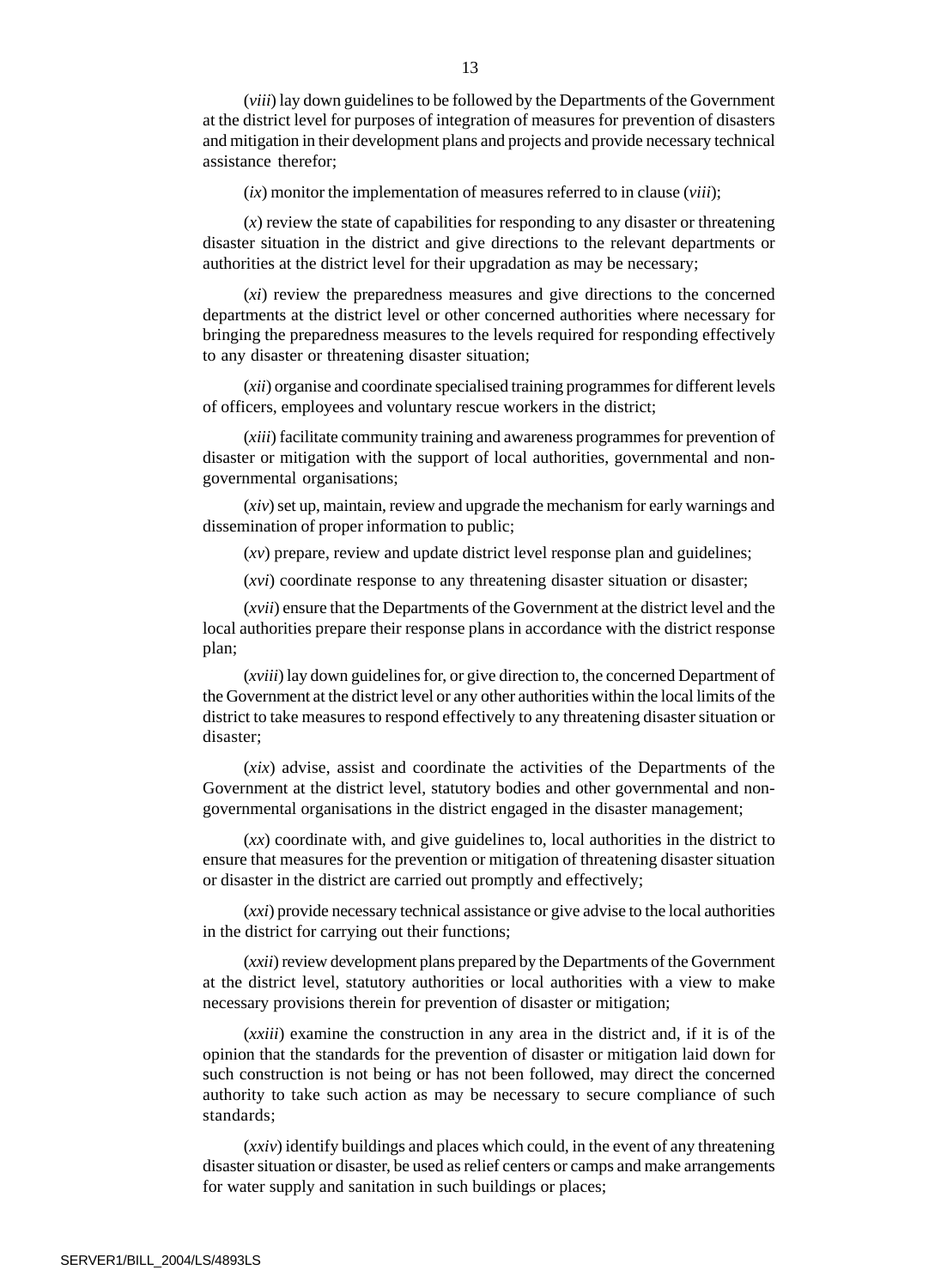(*viii*) lay down guidelines to be followed by the Departments of the Government at the district level for purposes of integration of measures for prevention of disasters and mitigation in their development plans and projects and provide necessary technical assistance therefor;

(*ix*) monitor the implementation of measures referred to in clause (*viii*);

(*x*) review the state of capabilities for responding to any disaster or threatening disaster situation in the district and give directions to the relevant departments or authorities at the district level for their upgradation as may be necessary;

(*xi*) review the preparedness measures and give directions to the concerned departments at the district level or other concerned authorities where necessary for bringing the preparedness measures to the levels required for responding effectively to any disaster or threatening disaster situation;

(*xii*) organise and coordinate specialised training programmes for different levels of officers, employees and voluntary rescue workers in the district;

(*xiii*) facilitate community training and awareness programmes for prevention of disaster or mitigation with the support of local authorities, governmental and nongovernmental organisations;

(*xiv*) set up, maintain, review and upgrade the mechanism for early warnings and dissemination of proper information to public;

(*xv*) prepare, review and update district level response plan and guidelines;

(*xvi*) coordinate response to any threatening disaster situation or disaster;

(*xvii*) ensure that the Departments of the Government at the district level and the local authorities prepare their response plans in accordance with the district response plan;

(*xviii*) lay down guidelines for, or give direction to, the concerned Department of the Government at the district level or any other authorities within the local limits of the district to take measures to respond effectively to any threatening disaster situation or disaster;

(*xix*) advise, assist and coordinate the activities of the Departments of the Government at the district level, statutory bodies and other governmental and nongovernmental organisations in the district engaged in the disaster management;

(*xx*) coordinate with, and give guidelines to, local authorities in the district to ensure that measures for the prevention or mitigation of threatening disaster situation or disaster in the district are carried out promptly and effectively;

(*xxi*) provide necessary technical assistance or give advise to the local authorities in the district for carrying out their functions;

(*xxii*) review development plans prepared by the Departments of the Government at the district level, statutory authorities or local authorities with a view to make necessary provisions therein for prevention of disaster or mitigation;

(*xxiii*) examine the construction in any area in the district and, if it is of the opinion that the standards for the prevention of disaster or mitigation laid down for such construction is not being or has not been followed, may direct the concerned authority to take such action as may be necessary to secure compliance of such standards;

(*xxiv*) identify buildings and places which could, in the event of any threatening disaster situation or disaster, be used as relief centers or camps and make arrangements for water supply and sanitation in such buildings or places;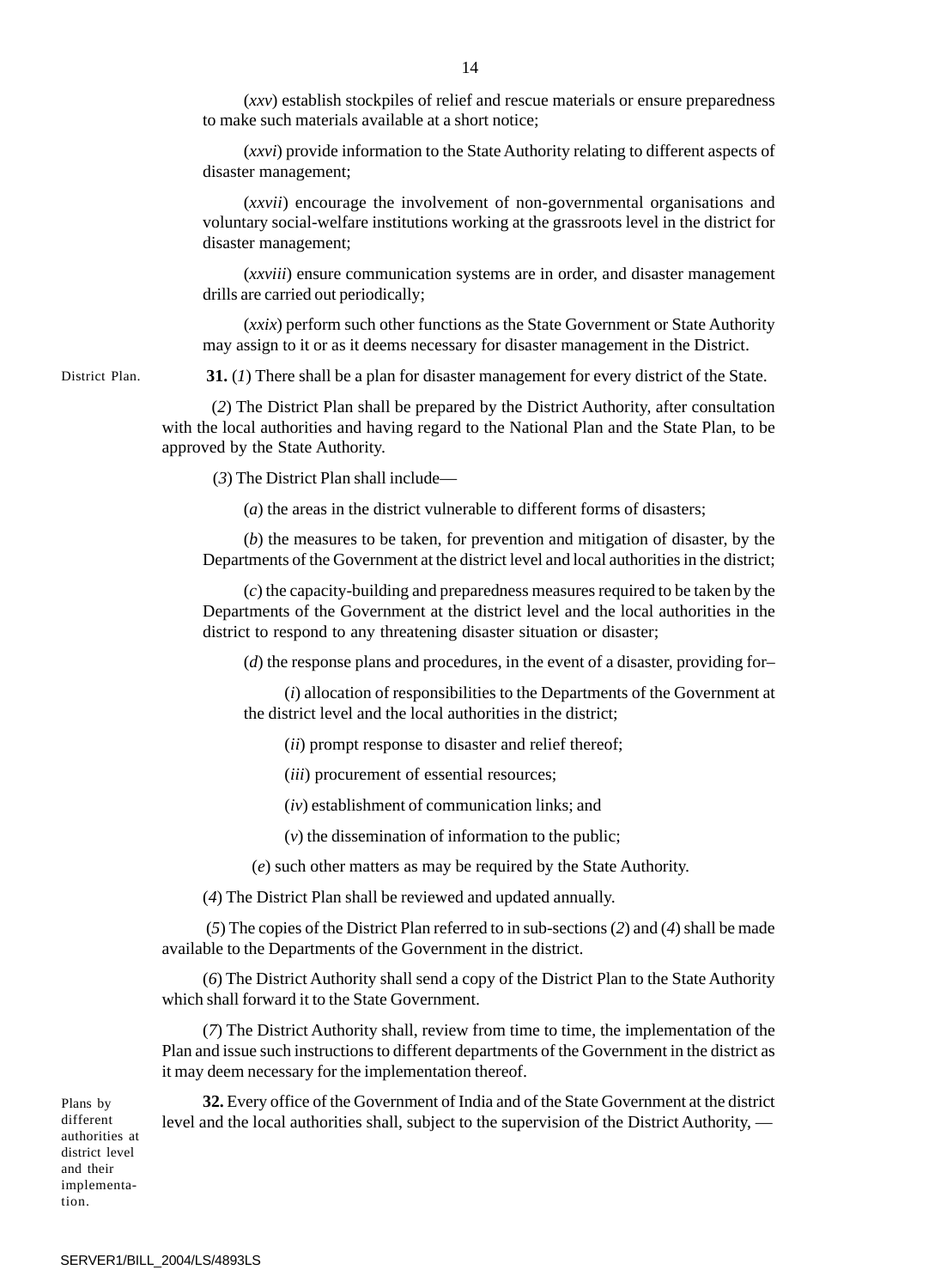(*xxv*) establish stockpiles of relief and rescue materials or ensure preparedness to make such materials available at a short notice;

(*xxvi*) provide information to the State Authority relating to different aspects of disaster management;

(*xxvii*) encourage the involvement of non-governmental organisations and voluntary social-welfare institutions working at the grassroots level in the district for disaster management;

(*xxviii*) ensure communication systems are in order, and disaster management drills are carried out periodically;

(*xxix*) perform such other functions as the State Government or State Authority may assign to it or as it deems necessary for disaster management in the District.

District Plan.

**31.** (*1*) There shall be a plan for disaster management for every district of the State.

 (*2*) The District Plan shall be prepared by the District Authority, after consultation with the local authorities and having regard to the National Plan and the State Plan, to be approved by the State Authority.

(*3*) The District Plan shall include—

(*a*) the areas in the district vulnerable to different forms of disasters;

(*b*) the measures to be taken, for prevention and mitigation of disaster, by the Departments of the Government at the district level and local authorities in the district;

(*c*) the capacity-building and preparedness measures required to be taken by the Departments of the Government at the district level and the local authorities in the district to respond to any threatening disaster situation or disaster;

(*d*) the response plans and procedures, in the event of a disaster, providing for–

(*i*) allocation of responsibilities to the Departments of the Government at the district level and the local authorities in the district;

(*ii*) prompt response to disaster and relief thereof;

(*iii*) procurement of essential resources;

(*iv*) establishment of communication links; and

(*v*) the dissemination of information to the public;

(*e*) such other matters as may be required by the State Authority.

(*4*) The District Plan shall be reviewed and updated annually.

 (*5*) The copies of the District Plan referred to in sub-sections (*2*) and (*4*) shall be made available to the Departments of the Government in the district.

(*6*) The District Authority shall send a copy of the District Plan to the State Authority which shall forward it to the State Government.

(*7*) The District Authority shall, review from time to time, the implementation of the Plan and issue such instructions to different departments of the Government in the district as it may deem necessary for the implementation thereof.

Plans by different authorities at district level and their implementation.

**32.** Every office of the Government of India and of the State Government at the district level and the local authorities shall, subject to the supervision of the District Authority, —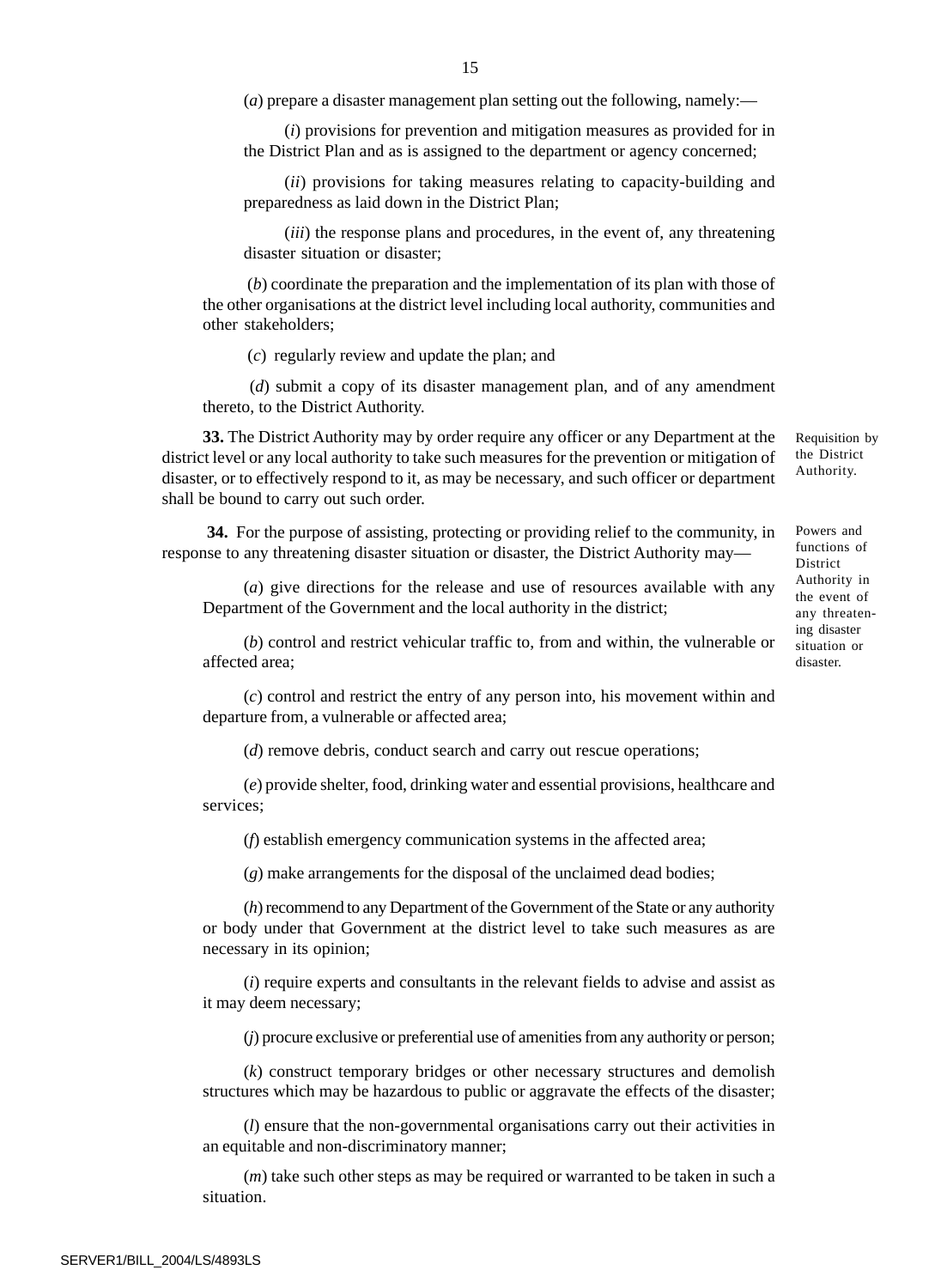(*a*) prepare a disaster management plan setting out the following, namely:—

(*i*) provisions for prevention and mitigation measures as provided for in the District Plan and as is assigned to the department or agency concerned;

(*ii*) provisions for taking measures relating to capacity-building and preparedness as laid down in the District Plan;

(*iii*) the response plans and procedures, in the event of, any threatening disaster situation or disaster;

 (*b*) coordinate the preparation and the implementation of its plan with those of the other organisations at the district level including local authority, communities and other stakeholders;

(*c*) regularly review and update the plan; and

 (*d*) submit a copy of its disaster management plan, and of any amendment thereto, to the District Authority.

**33.** The District Authority may by order require any officer or any Department at the district level or any local authority to take such measures for the prevention or mitigation of disaster, or to effectively respond to it, as may be necessary, and such officer or department shall be bound to carry out such order.

 **34.** For the purpose of assisting, protecting or providing relief to the community, in response to any threatening disaster situation or disaster, the District Authority may—

(*a*) give directions for the release and use of resources available with any Department of the Government and the local authority in the district;

(*b*) control and restrict vehicular traffic to, from and within, the vulnerable or affected area;

(*c*) control and restrict the entry of any person into, his movement within and departure from, a vulnerable or affected area;

(*d*) remove debris, conduct search and carry out rescue operations;

(*e*) provide shelter, food, drinking water and essential provisions, healthcare and services;

(*f*) establish emergency communication systems in the affected area;

(*g*) make arrangements for the disposal of the unclaimed dead bodies;

(*h*) recommend to any Department of the Government of the State or any authority or body under that Government at the district level to take such measures as are necessary in its opinion;

(*i*) require experts and consultants in the relevant fields to advise and assist as it may deem necessary;

(*j*) procure exclusive or preferential use of amenities from any authority or person;

(*k*) construct temporary bridges or other necessary structures and demolish structures which may be hazardous to public or aggravate the effects of the disaster;

(*l*) ensure that the non-governmental organisations carry out their activities in an equitable and non-discriminatory manner;

(*m*) take such other steps as may be required or warranted to be taken in such a situation.

SERVER1/BILL\_2004/LS/4893LS

Requisition by the District Authority.

Powers and functions of District Authority in the event of any threatening disaster situation or disaster.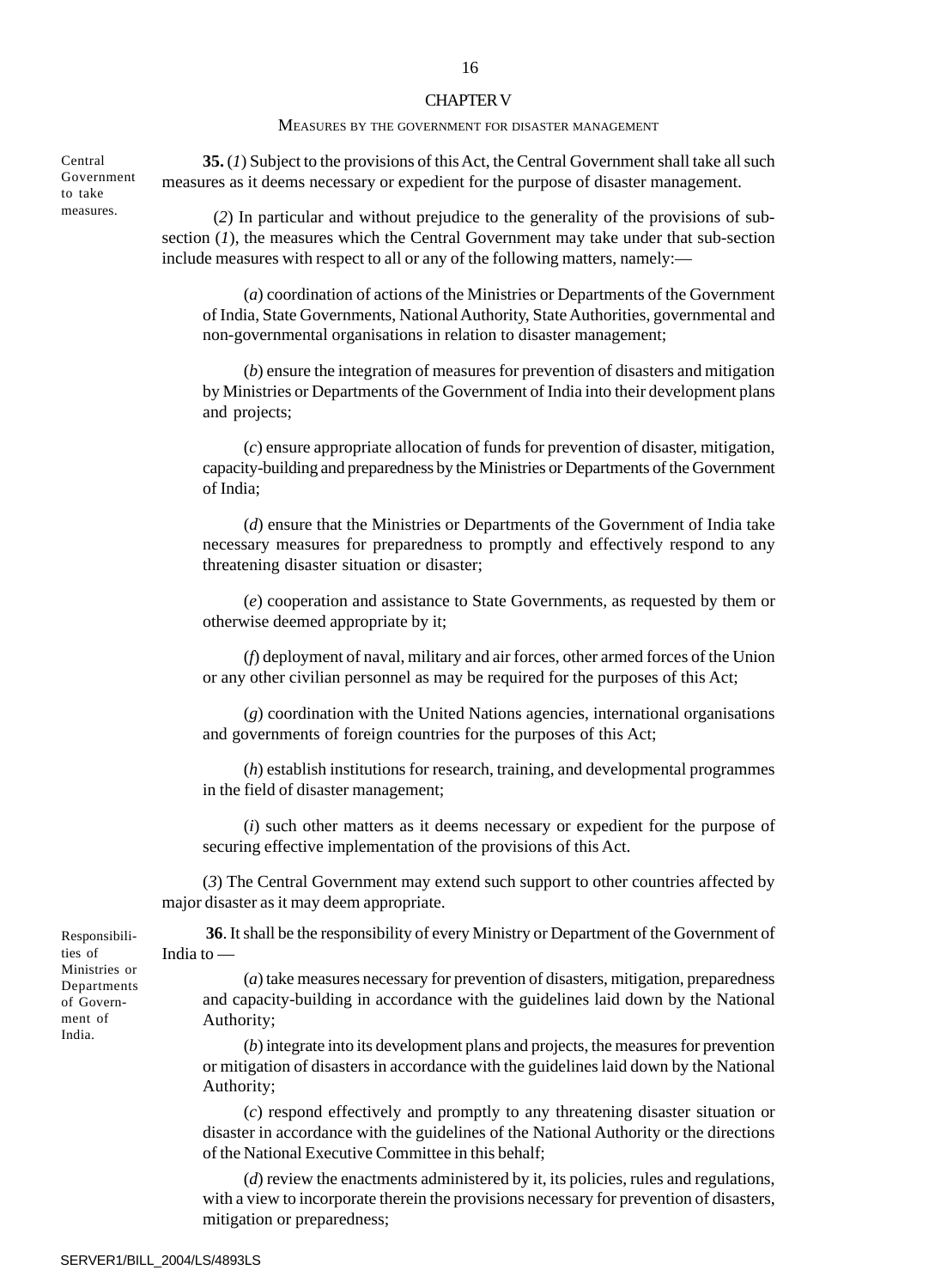#### CHAPTER V

#### MEASURES BY THE GOVERNMENT FOR DISASTER MANAGEMENT

**35.** (*1*) Subject to the provisions of this Act, the Central Government shall take all such measures as it deems necessary or expedient for the purpose of disaster management.

Central Government to take measures.

 (*2*) In particular and without prejudice to the generality of the provisions of subsection  $(1)$ , the measures which the Central Government may take under that sub-section include measures with respect to all or any of the following matters, namely:—

(*a*) coordination of actions of the Ministries or Departments of the Government of India, State Governments, National Authority, State Authorities, governmental and non-governmental organisations in relation to disaster management;

(*b*) ensure the integration of measures for prevention of disasters and mitigation by Ministries or Departments of the Government of India into their development plans and projects;

(*c*) ensure appropriate allocation of funds for prevention of disaster, mitigation, capacity-building and preparedness by the Ministries or Departments of the Government of India;

(*d*) ensure that the Ministries or Departments of the Government of India take necessary measures for preparedness to promptly and effectively respond to any threatening disaster situation or disaster;

(*e*) cooperation and assistance to State Governments, as requested by them or otherwise deemed appropriate by it;

(*f*) deployment of naval, military and air forces, other armed forces of the Union or any other civilian personnel as may be required for the purposes of this Act;

(*g*) coordination with the United Nations agencies, international organisations and governments of foreign countries for the purposes of this Act;

(*h*) establish institutions for research, training, and developmental programmes in the field of disaster management;

(*i*) such other matters as it deems necessary or expedient for the purpose of securing effective implementation of the provisions of this Act.

(*3*) The Central Government may extend such support to other countries affected by major disaster as it may deem appropriate.

**36**. It shall be the responsibility of every Ministry or Department of the Government of India to —

(*a*) take measures necessary for prevention of disasters, mitigation, preparedness and capacity-building in accordance with the guidelines laid down by the National Authority;

(*b*) integrate into its development plans and projects, the measures for prevention or mitigation of disasters in accordance with the guidelines laid down by the National Authority;

(*c*) respond effectively and promptly to any threatening disaster situation or disaster in accordance with the guidelines of the National Authority or the directions of the National Executive Committee in this behalf;

(*d*) review the enactments administered by it, its policies, rules and regulations, with a view to incorporate therein the provisions necessary for prevention of disasters, mitigation or preparedness;

Responsibilities of Ministries or Departments of Government of India.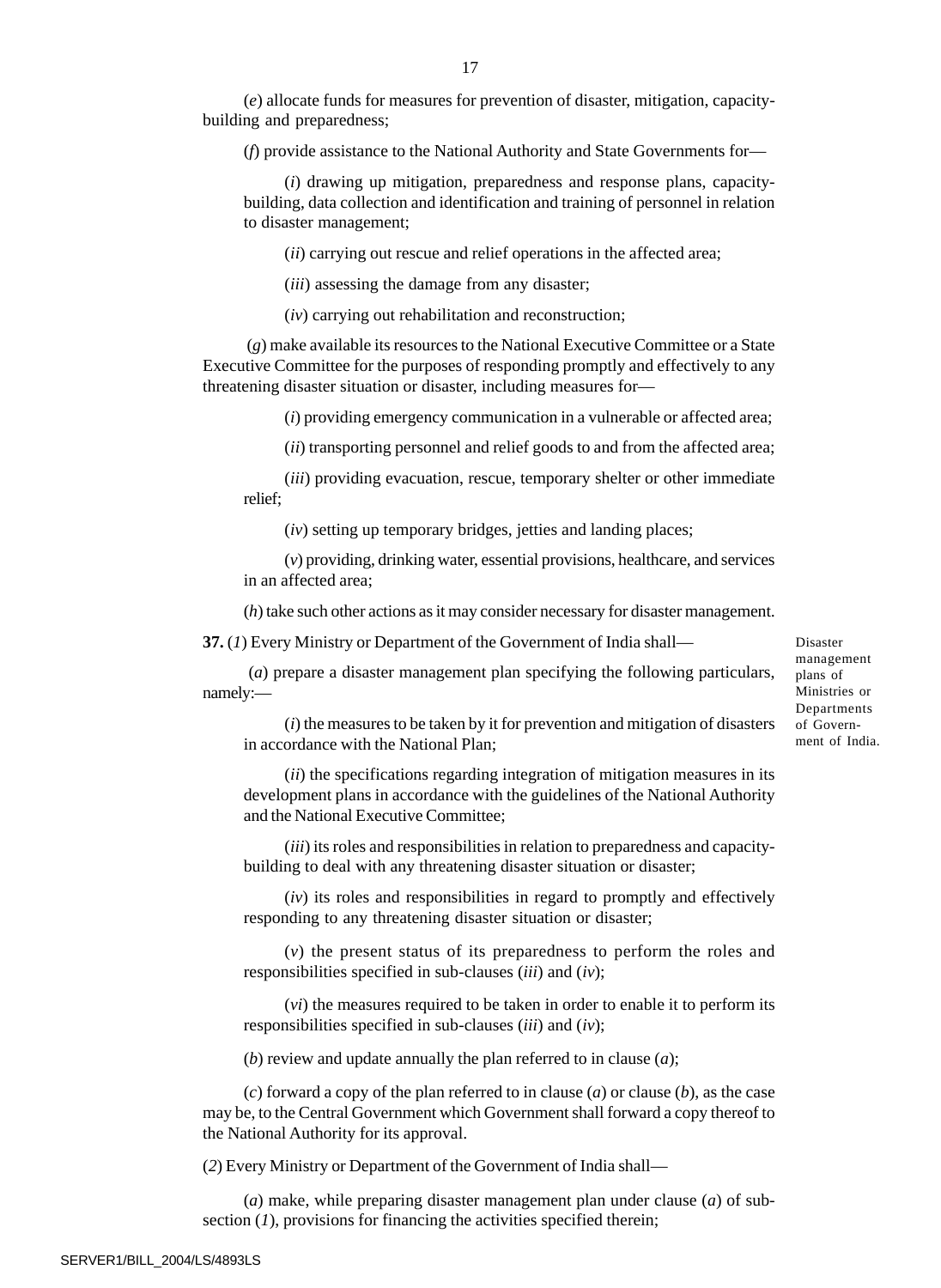(*e*) allocate funds for measures for prevention of disaster, mitigation, capacitybuilding and preparedness;

(*f*) provide assistance to the National Authority and State Governments for—

(*i*) drawing up mitigation, preparedness and response plans, capacitybuilding, data collection and identification and training of personnel in relation to disaster management;

(*ii*) carrying out rescue and relief operations in the affected area;

(*iii*) assessing the damage from any disaster;

(*iv*) carrying out rehabilitation and reconstruction;

 (*g*) make available its resources to the National Executive Committee or a State Executive Committee for the purposes of responding promptly and effectively to any threatening disaster situation or disaster, including measures for—

(*i*) providing emergency communication in a vulnerable or affected area;

(*ii*) transporting personnel and relief goods to and from the affected area;

(*iii*) providing evacuation, rescue, temporary shelter or other immediate relief;

(*iv*) setting up temporary bridges, jetties and landing places;

(*v*) providing, drinking water, essential provisions, healthcare, and services in an affected area;

(*h*) take such other actions as it may consider necessary for disaster management.

**37.** (*1*) Every Ministry or Department of the Government of India shall—

 (*a*) prepare a disaster management plan specifying the following particulars, namely:—

Disaster management plans of Ministries or Departments of Government of India.

(*i*) the measures to be taken by it for prevention and mitigation of disasters in accordance with the National Plan;

(*ii*) the specifications regarding integration of mitigation measures in its development plans in accordance with the guidelines of the National Authority and the National Executive Committee;

(*iii*) its roles and responsibilities in relation to preparedness and capacitybuilding to deal with any threatening disaster situation or disaster;

(*iv*) its roles and responsibilities in regard to promptly and effectively responding to any threatening disaster situation or disaster;

(*v*) the present status of its preparedness to perform the roles and responsibilities specified in sub-clauses (*iii*) and (*iv*);

(*vi*) the measures required to be taken in order to enable it to perform its responsibilities specified in sub-clauses (*iii*) and (*iv*);

(*b*) review and update annually the plan referred to in clause (*a*);

(*c*) forward a copy of the plan referred to in clause (*a*) or clause (*b*), as the case may be, to the Central Government which Government shall forward a copy thereof to the National Authority for its approval.

(*2*) Every Ministry or Department of the Government of India shall—

(*a*) make, while preparing disaster management plan under clause (*a*) of subsection (*1*), provisions for financing the activities specified therein;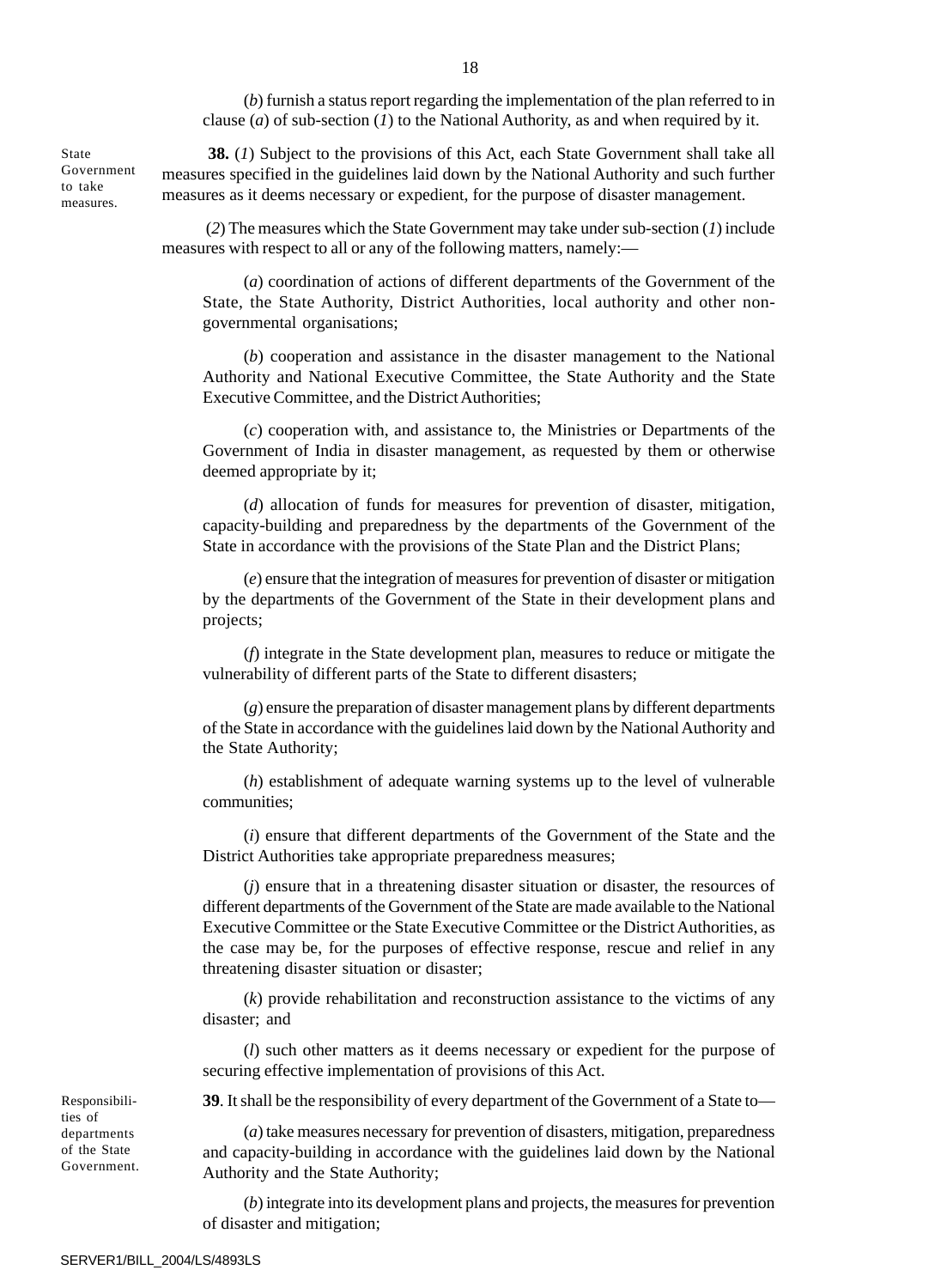(*b*) furnish a status report regarding the implementation of the plan referred to in clause (*a*) of sub-section (*1*) to the National Authority, as and when required by it.

**38.** (*1*) Subject to the provisions of this Act, each State Government shall take all measures specified in the guidelines laid down by the National Authority and such further measures as it deems necessary or expedient, for the purpose of disaster management.

 (*2*) The measures which the State Government may take under sub-section (*1*) include measures with respect to all or any of the following matters, namely:—

(*a*) coordination of actions of different departments of the Government of the State, the State Authority, District Authorities, local authority and other nongovernmental organisations;

(*b*) cooperation and assistance in the disaster management to the National Authority and National Executive Committee, the State Authority and the State Executive Committee, and the District Authorities;

(*c*) cooperation with, and assistance to, the Ministries or Departments of the Government of India in disaster management, as requested by them or otherwise deemed appropriate by it;

(*d*) allocation of funds for measures for prevention of disaster, mitigation, capacity-building and preparedness by the departments of the Government of the State in accordance with the provisions of the State Plan and the District Plans;

(*e*) ensure that the integration of measures for prevention of disaster or mitigation by the departments of the Government of the State in their development plans and projects;

(*f*) integrate in the State development plan, measures to reduce or mitigate the vulnerability of different parts of the State to different disasters;

(*g*) ensure the preparation of disaster management plans by different departments of the State in accordance with the guidelines laid down by the National Authority and the State Authority;

(*h*) establishment of adequate warning systems up to the level of vulnerable communities;

(*i*) ensure that different departments of the Government of the State and the District Authorities take appropriate preparedness measures;

(*j*) ensure that in a threatening disaster situation or disaster, the resources of different departments of the Government of the State are made available to the National Executive Committee or the State Executive Committee or the District Authorities, as the case may be, for the purposes of effective response, rescue and relief in any threatening disaster situation or disaster;

(*k*) provide rehabilitation and reconstruction assistance to the victims of any disaster; and

(*l*) such other matters as it deems necessary or expedient for the purpose of securing effective implementation of provisions of this Act.

**39**. It shall be the responsibility of every department of the Government of a State to—

(*a*) take measures necessary for prevention of disasters, mitigation, preparedness and capacity-building in accordance with the guidelines laid down by the National Authority and the State Authority;

(*b*) integrate into its development plans and projects, the measures for prevention of disaster and mitigation;

State Government to take measures.

ties of departments of the State Government.

Responsibili-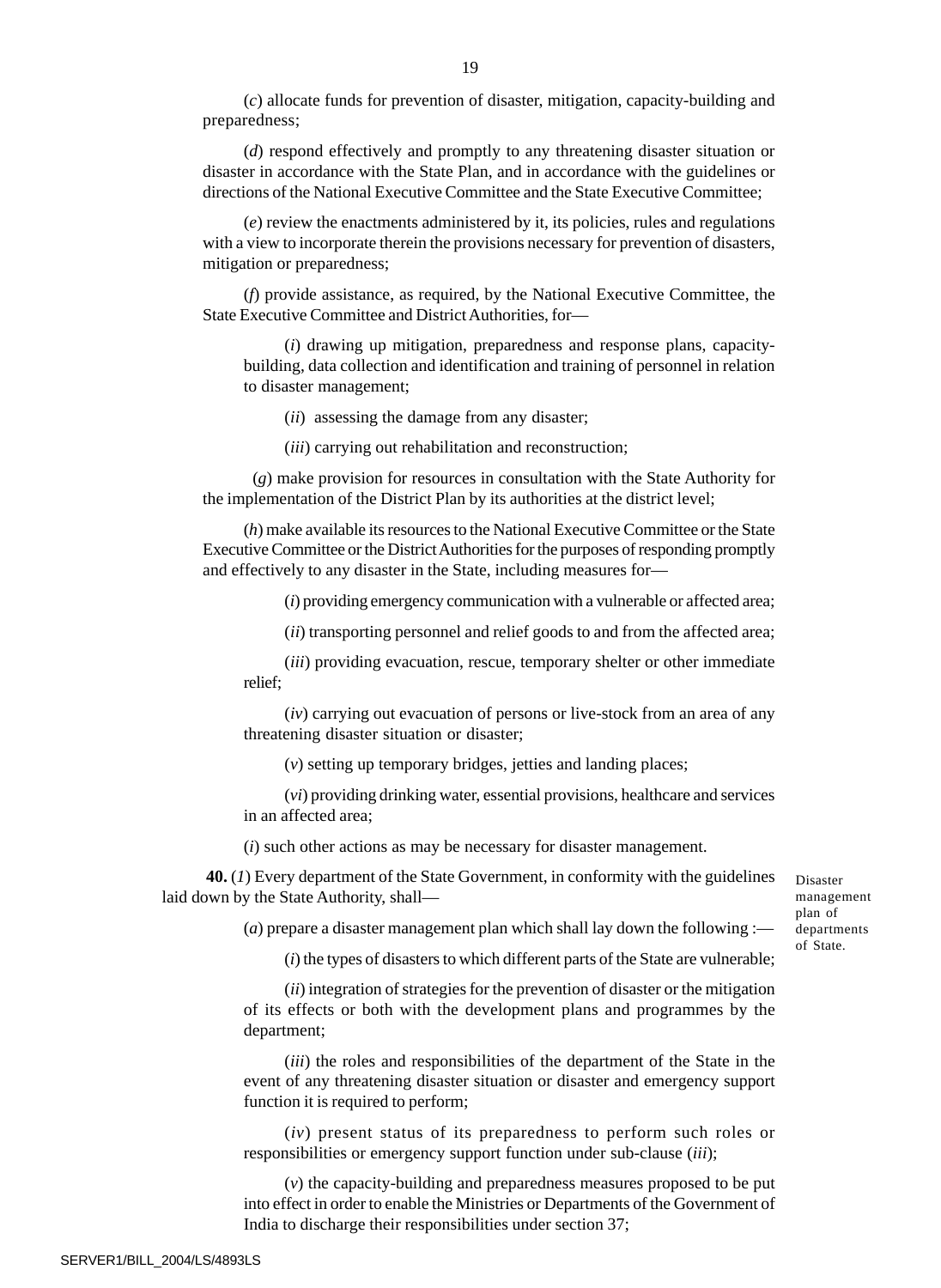(*c*) allocate funds for prevention of disaster, mitigation, capacity-building and preparedness;

(*d*) respond effectively and promptly to any threatening disaster situation or disaster in accordance with the State Plan, and in accordance with the guidelines or directions of the National Executive Committee and the State Executive Committee;

(*e*) review the enactments administered by it, its policies, rules and regulations with a view to incorporate therein the provisions necessary for prevention of disasters, mitigation or preparedness;

(*f*) provide assistance, as required, by the National Executive Committee, the State Executive Committee and District Authorities, for—

(*i*) drawing up mitigation, preparedness and response plans, capacitybuilding, data collection and identification and training of personnel in relation to disaster management;

(*ii*) assessing the damage from any disaster;

(*iii*) carrying out rehabilitation and reconstruction;

 (*g*) make provision for resources in consultation with the State Authority for the implementation of the District Plan by its authorities at the district level;

(*h*) make available its resources to the National Executive Committee or the State Executive Committee or the District Authorities for the purposes of responding promptly and effectively to any disaster in the State, including measures for—

(*i*) providing emergency communication with a vulnerable or affected area;

(*ii*) transporting personnel and relief goods to and from the affected area;

(*iii*) providing evacuation, rescue, temporary shelter or other immediate relief;

(*iv*) carrying out evacuation of persons or live-stock from an area of any threatening disaster situation or disaster;

(*v*) setting up temporary bridges, jetties and landing places;

(*vi*) providing drinking water, essential provisions, healthcare and services in an affected area;

(*i*) such other actions as may be necessary for disaster management.

**40.** (*1*) Every department of the State Government, in conformity with the guidelines laid down by the State Authority, shallDisaster management plan of departments of State.

(*a*) prepare a disaster management plan which shall lay down the following :—

(*i*) the types of disasters to which different parts of the State are vulnerable;

(*ii*) integration of strategies for the prevention of disaster or the mitigation of its effects or both with the development plans and programmes by the department;

(*iii*) the roles and responsibilities of the department of the State in the event of any threatening disaster situation or disaster and emergency support function it is required to perform;

(*iv*) present status of its preparedness to perform such roles or responsibilities or emergency support function under sub-clause (*iii*);

(*v*) the capacity-building and preparedness measures proposed to be put into effect in order to enable the Ministries or Departments of the Government of India to discharge their responsibilities under section 37;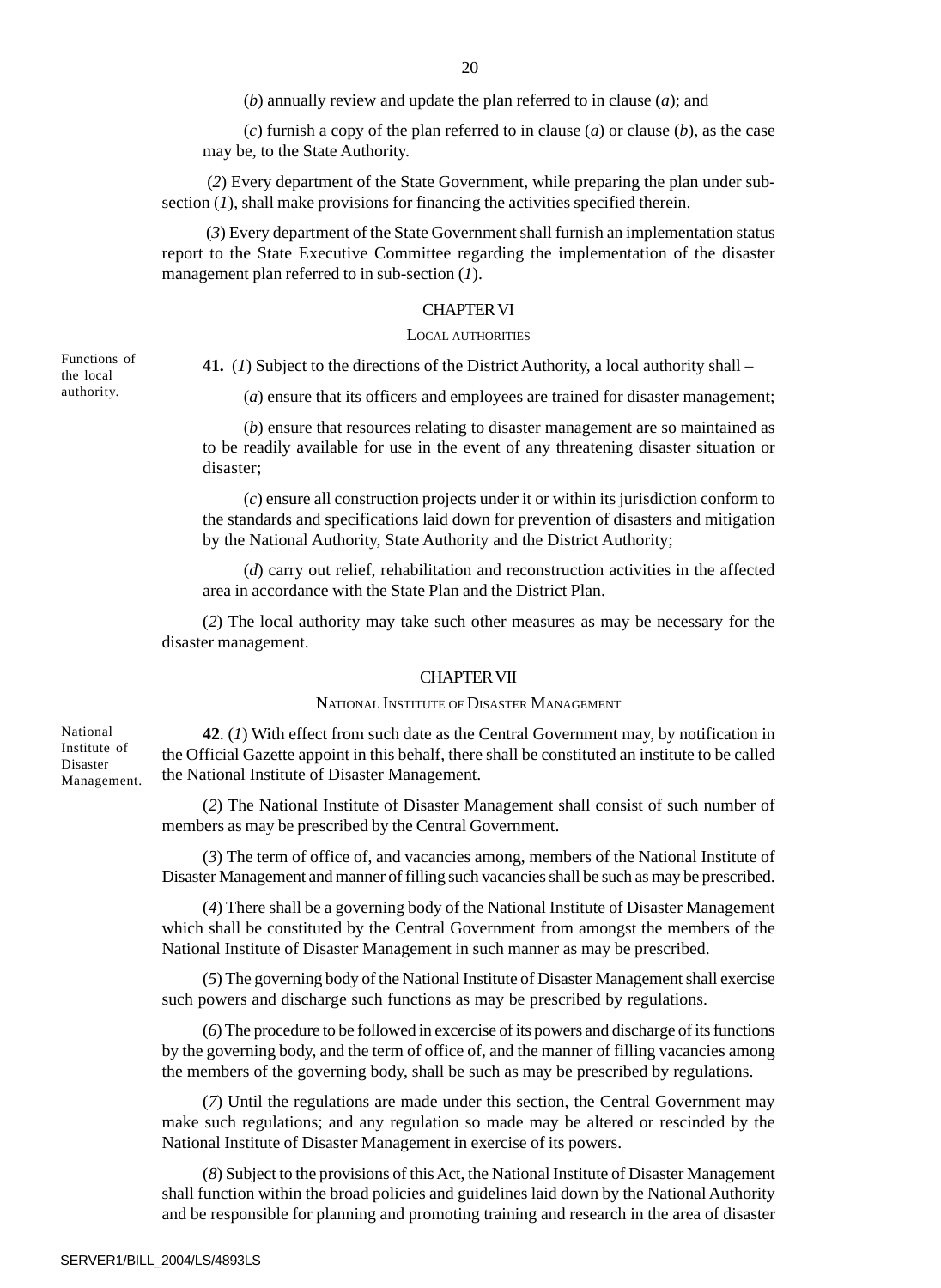(*b*) annually review and update the plan referred to in clause (*a*); and

(*c*) furnish a copy of the plan referred to in clause (*a*) or clause (*b*), as the case may be, to the State Authority.

 (*2*) Every department of the State Government, while preparing the plan under subsection (*1*), shall make provisions for financing the activities specified therein.

 (*3*) Every department of the State Government shall furnish an implementation status report to the State Executive Committee regarding the implementation of the disaster management plan referred to in sub-section (*1*).

## CHAPTER VI

## LOCAL AUTHORITIES

Functions of the local authority.

National Institute of Disaster Management. **41.** (*1*) Subject to the directions of the District Authority, a local authority shall –

(*a*) ensure that its officers and employees are trained for disaster management;

(*b*) ensure that resources relating to disaster management are so maintained as to be readily available for use in the event of any threatening disaster situation or disaster;

(*c*) ensure all construction projects under it or within its jurisdiction conform to the standards and specifications laid down for prevention of disasters and mitigation by the National Authority, State Authority and the District Authority;

(*d*) carry out relief, rehabilitation and reconstruction activities in the affected area in accordance with the State Plan and the District Plan.

(*2*) The local authority may take such other measures as may be necessary for the disaster management.

#### CHAPTER VII

#### NATIONAL INSTITUTE OF DISASTER MANAGEMENT

**42**. (*1*) With effect from such date as the Central Government may, by notification in the Official Gazette appoint in this behalf, there shall be constituted an institute to be called the National Institute of Disaster Management.

(*2*) The National Institute of Disaster Management shall consist of such number of members as may be prescribed by the Central Government.

(*3*) The term of office of, and vacancies among, members of the National Institute of Disaster Management and manner of filling such vacancies shall be such as may be prescribed.

(*4*) There shall be a governing body of the National Institute of Disaster Management which shall be constituted by the Central Government from amongst the members of the National Institute of Disaster Management in such manner as may be prescribed.

(*5*) The governing body of the National Institute of Disaster Management shall exercise such powers and discharge such functions as may be prescribed by regulations.

(*6*) The procedure to be followed in excercise of its powers and discharge of its functions by the governing body, and the term of office of, and the manner of filling vacancies among the members of the governing body, shall be such as may be prescribed by regulations.

(*7*) Until the regulations are made under this section, the Central Government may make such regulations; and any regulation so made may be altered or rescinded by the National Institute of Disaster Management in exercise of its powers.

(*8*) Subject to the provisions of this Act, the National Institute of Disaster Management shall function within the broad policies and guidelines laid down by the National Authority and be responsible for planning and promoting training and research in the area of disaster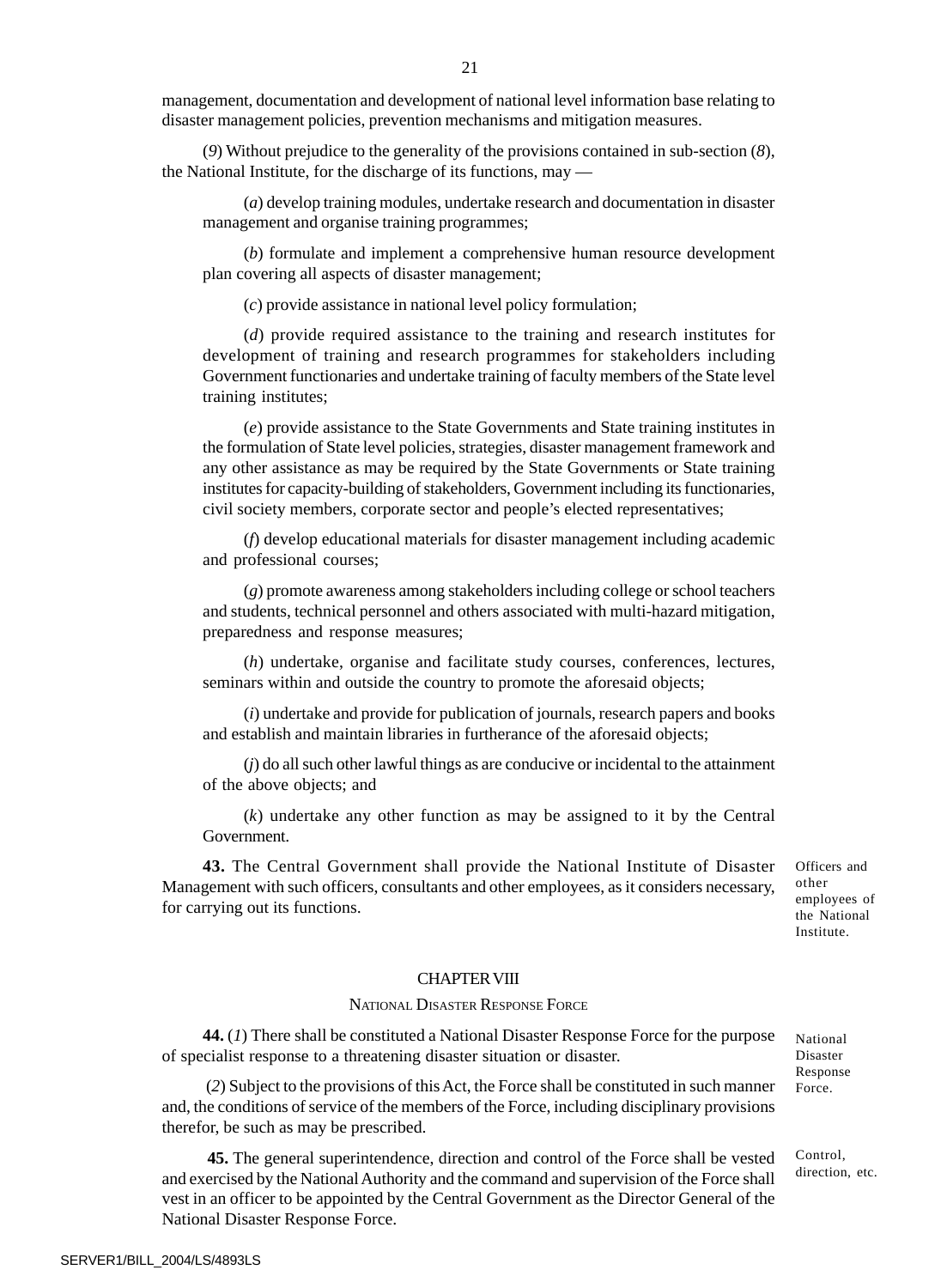management, documentation and development of national level information base relating to disaster management policies, prevention mechanisms and mitigation measures.

(*9*) Without prejudice to the generality of the provisions contained in sub-section (*8*), the National Institute, for the discharge of its functions, may —

(*a*) develop training modules, undertake research and documentation in disaster management and organise training programmes;

(*b*) formulate and implement a comprehensive human resource development plan covering all aspects of disaster management;

(*c*) provide assistance in national level policy formulation;

(*d*) provide required assistance to the training and research institutes for development of training and research programmes for stakeholders including Government functionaries and undertake training of faculty members of the State level training institutes;

(*e*) provide assistance to the State Governments and State training institutes in the formulation of State level policies, strategies, disaster management framework and any other assistance as may be required by the State Governments or State training institutes for capacity-building of stakeholders, Government including its functionaries, civil society members, corporate sector and people's elected representatives;

(*f*) develop educational materials for disaster management including academic and professional courses;

(*g*) promote awareness among stakeholders including college or school teachers and students, technical personnel and others associated with multi-hazard mitigation, preparedness and response measures;

(*h*) undertake, organise and facilitate study courses, conferences, lectures, seminars within and outside the country to promote the aforesaid objects;

(*i*) undertake and provide for publication of journals, research papers and books and establish and maintain libraries in furtherance of the aforesaid objects;

(*j*) do all such other lawful things as are conducive or incidental to the attainment of the above objects; and

(*k*) undertake any other function as may be assigned to it by the Central Government.

**43.** The Central Government shall provide the National Institute of Disaster Management with such officers, consultants and other employees, as it considers necessary, for carrying out its functions.

Officers and other employees of the National Institute.

## CHAPTER VIII

#### NATIONAL DISASTER RESPONSE FORCE

**44.** (*1*) There shall be constituted a National Disaster Response Force for the purpose of specialist response to a threatening disaster situation or disaster.

 (*2*) Subject to the provisions of this Act, the Force shall be constituted in such manner and, the conditions of service of the members of the Force, including disciplinary provisions therefor, be such as may be prescribed.

 **45.** The general superintendence, direction and control of the Force shall be vested and exercised by the National Authority and the command and supervision of the Force shall vest in an officer to be appointed by the Central Government as the Director General of the National Disaster Response Force.

National Disaster Response Force.

Control, direction, etc.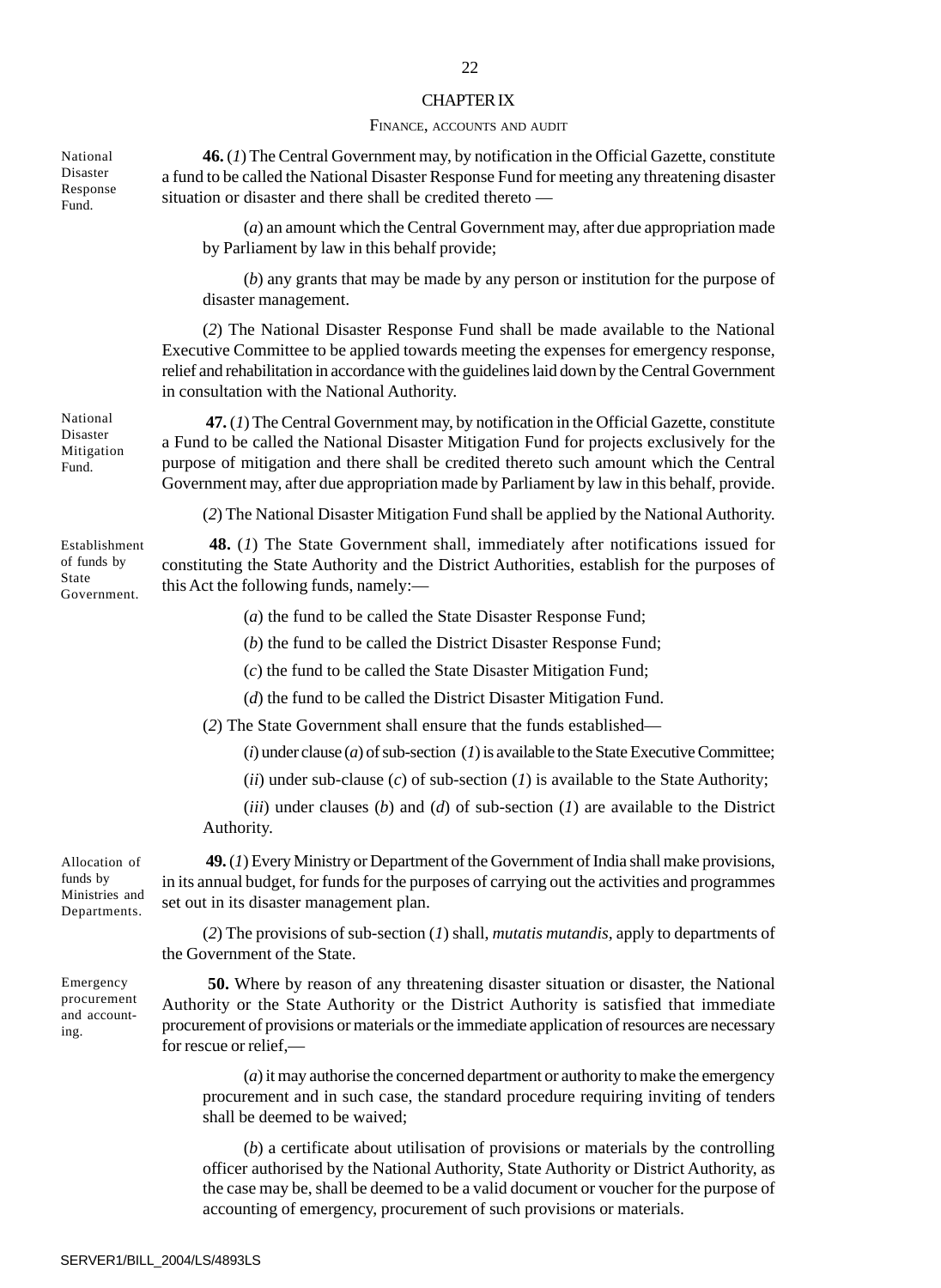#### CHAPTER IX

#### FINANCE, ACCOUNTS AND AUDIT

**46.** (*1*) The Central Government may, by notification in the Official Gazette, constitute a fund to be called the National Disaster Response Fund for meeting any threatening disaster situation or disaster and there shall be credited thereto —

(*a*) an amount which the Central Government may, after due appropriation made by Parliament by law in this behalf provide;

(*b*) any grants that may be made by any person or institution for the purpose of disaster management.

(*2*) The National Disaster Response Fund shall be made available to the National Executive Committee to be applied towards meeting the expenses for emergency response, relief and rehabilitation in accordance with the guidelines laid down by the Central Government in consultation with the National Authority.

 **47.** (*1*) The Central Government may, by notification in the Official Gazette, constitute a Fund to be called the National Disaster Mitigation Fund for projects exclusively for the purpose of mitigation and there shall be credited thereto such amount which the Central Government may, after due appropriation made by Parliament by law in this behalf, provide.

(*2*) The National Disaster Mitigation Fund shall be applied by the National Authority.

**48.** (*1*) The State Government shall, immediately after notifications issued for constituting the State Authority and the District Authorities, establish for the purposes of this Act the following funds, namely:—

(*a*) the fund to be called the State Disaster Response Fund;

(*b*) the fund to be called the District Disaster Response Fund;

(*c*) the fund to be called the State Disaster Mitigation Fund;

(*d*) the fund to be called the District Disaster Mitigation Fund.

(*2*) The State Government shall ensure that the funds established—

 $(i)$  under clause  $(a)$  of sub-section  $(I)$  is available to the State Executive Committee;

(*ii*) under sub-clause (*c*) of sub-section (*1*) is available to the State Authority;

(*iii*) under clauses (*b*) and (*d*) of sub-section (*1*) are available to the District Authority.

**49.** (*1*) Every Ministry or Department of the Government of India shall make provisions, in its annual budget, for funds for the purposes of carrying out the activities and programmes set out in its disaster management plan.

(*2*) The provisions of sub-section (*1*) shall, *mutatis mutandis,* apply to departments of the Government of the State.

**50.** Where by reason of any threatening disaster situation or disaster, the National Authority or the State Authority or the District Authority is satisfied that immediate procurement of provisions or materials or the immediate application of resources are necessary for rescue or relief,—

(*a*) it may authorise the concerned department or authority to make the emergency procurement and in such case, the standard procedure requiring inviting of tenders shall be deemed to be waived;

(*b*) a certificate about utilisation of provisions or materials by the controlling officer authorised by the National Authority, State Authority or District Authority, as the case may be, shall be deemed to be a valid document or voucher for the purpose of accounting of emergency, procurement of such provisions or materials.

Allocation of funds by Ministries and Departments.

Emergency procurement and accounting.

National Disaster Mitigation Fund.

Establishment of funds by State Government.

National Disaster Response Fund.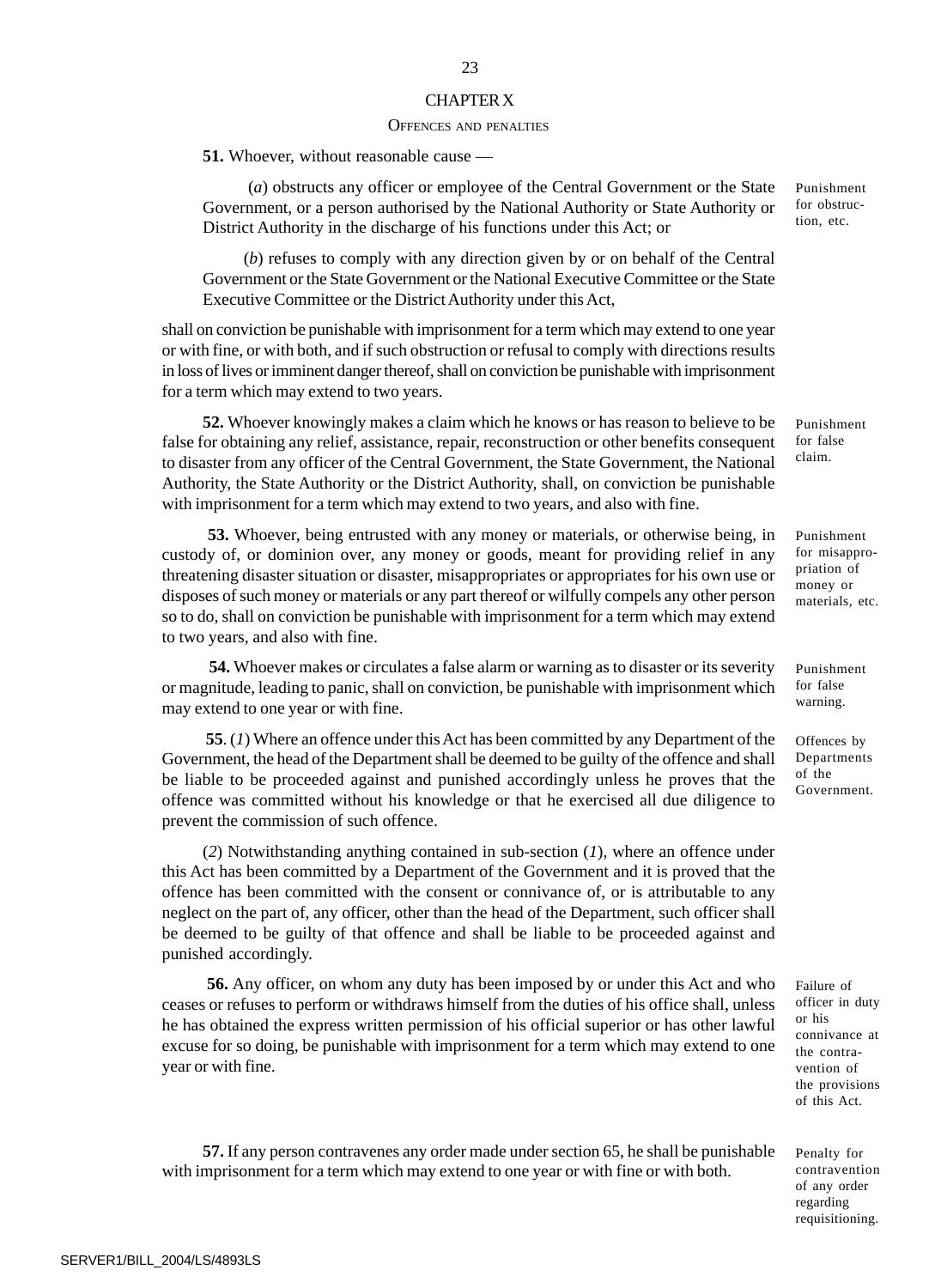#### CHAPTER X

#### OFFENCES AND PENALTIES

**51.** Whoever, without reasonable cause —

 (*a*) obstructs any officer or employee of the Central Government or the State Government, or a person authorised by the National Authority or State Authority or District Authority in the discharge of his functions under this Act; or

(*b*) refuses to comply with any direction given by or on behalf of the Central Government or the State Government or the National Executive Committee or the State Executive Committee or the District Authority under this Act,

shall on conviction be punishable with imprisonment for a term which may extend to one year or with fine, or with both, and if such obstruction or refusal to comply with directions results in loss of lives or imminent danger thereof, shall on conviction be punishable with imprisonment for a term which may extend to two years.

**52.** Whoever knowingly makes a claim which he knows or has reason to believe to be false for obtaining any relief, assistance, repair, reconstruction or other benefits consequent to disaster from any officer of the Central Government, the State Government, the National Authority, the State Authority or the District Authority, shall, on conviction be punishable with imprisonment for a term which may extend to two years, and also with fine.

**53.** Whoever, being entrusted with any money or materials, or otherwise being, in custody of, or dominion over, any money or goods, meant for providing relief in any threatening disaster situation or disaster, misappropriates or appropriates for his own use or disposes of such money or materials or any part thereof or wilfully compels any other person so to do, shall on conviction be punishable with imprisonment for a term which may extend to two years, and also with fine.

**54.** Whoever makes or circulates a false alarm or warning asto disaster or its severity or magnitude, leading to panic, shall on conviction, be punishable with imprisonment which may extend to one year or with fine.

 **55**. (*1*) Where an offence under this Act has been committed by any Department of the Government, the head of the Department shall be deemed to be guilty of the offence and shall be liable to be proceeded against and punished accordingly unless he proves that the offence was committed without his knowledge or that he exercised all due diligence to prevent the commission of such offence.

(*2*) Notwithstanding anything contained in sub-section (*1*), where an offence under this Act has been committed by a Department of the Government and it is proved that the offence has been committed with the consent or connivance of, or is attributable to any neglect on the part of, any officer, other than the head of the Department, such officer shall be deemed to be guilty of that offence and shall be liable to be proceeded against and punished accordingly.

 **56.** Any officer, on whom any duty has been imposed by or under this Act and who ceases or refuses to perform or withdraws himself from the duties of his office shall, unless he has obtained the express written permission of his official superior or has other lawful excuse for so doing, be punishable with imprisonment for a term which may extend to one year or with fine.

**57.** If any person contravenes any order made under section 65, he shall be punishable with imprisonment for a term which may extend to one year or with fine or with both.

Punishment for obstruction, etc.

Punishment for false claim.

Punishment for misappropriation of money or materials, etc.

Punishment for false warning.

Offences by Departments of the Government.

Failure of officer in duty or his connivance at the contravention of the provisions of this Act.

Penalty for contravention of any order regarding requisitioning.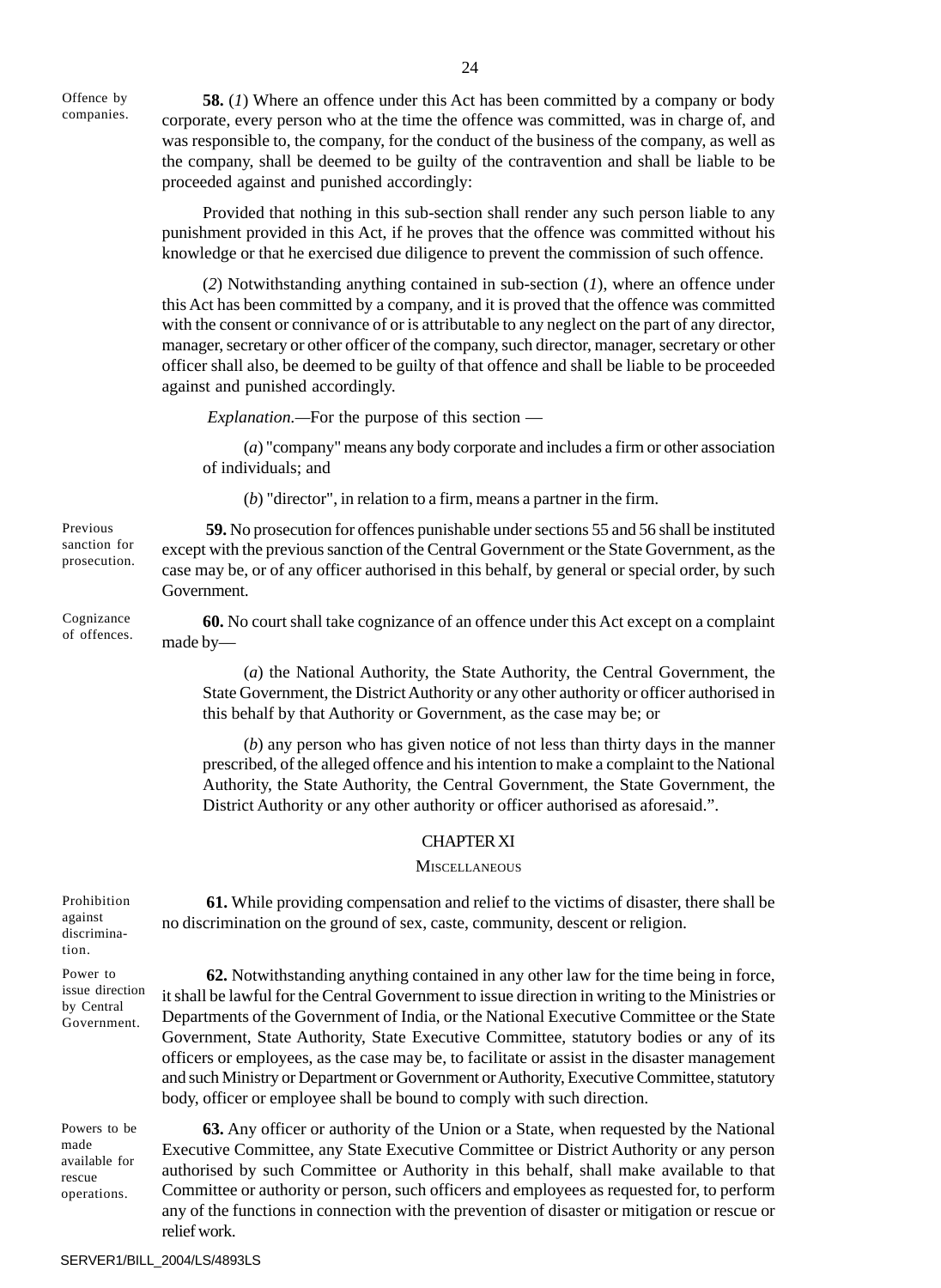Offence by companies.

**58.** (*1*) Where an offence under this Act has been committed by a company or body corporate, every person who at the time the offence was committed, was in charge of, and was responsible to, the company, for the conduct of the business of the company, as well as the company, shall be deemed to be guilty of the contravention and shall be liable to be proceeded against and punished accordingly:

Provided that nothing in this sub-section shall render any such person liable to any punishment provided in this Act, if he proves that the offence was committed without his knowledge or that he exercised due diligence to prevent the commission of such offence.

(*2*) Notwithstanding anything contained in sub-section (*1*), where an offence under this Act has been committed by a company, and it is proved that the offence was committed with the consent or connivance of or is attributable to any neglect on the part of any director, manager, secretary or other officer of the company, such director, manager, secretary or other officer shall also, be deemed to be guilty of that offence and shall be liable to be proceeded against and punished accordingly.

*Explanation.—*For the purpose of this section —

(*a*) "company" means any body corporate and includes a firm or other association of individuals; and

(*b*) "director", in relation to a firm, means a partner in the firm.

**59.** No prosecution for offences punishable under sections 55 and 56 shall be instituted except with the previous sanction of the Central Government or the State Government, as the case may be, or of any officer authorised in this behalf, by general or special order, by such Government.

**60.** No court shall take cognizance of an offence under this Act except on a complaint made by—

(*a*) the National Authority, the State Authority, the Central Government, the State Government, the District Authority or any other authority or officer authorised in this behalf by that Authority or Government, as the case may be; or

(*b*) any person who has given notice of not less than thirty days in the manner prescribed, of the alleged offence and his intention to make a complaint to the National Authority, the State Authority, the Central Government, the State Government, the District Authority or any other authority or officer authorised as aforesaid.".

## CHAPTER XI

## **MISCELLANEOUS**

 **61.** While providing compensation and relief to the victims of disaster, there shall be no discrimination on the ground of sex, caste, community, descent or religion. **62.** Notwithstanding anything contained in any other law for the time being in force, it shall be lawful for the Central Government to issue direction in writing to the Ministries or Departments of the Government of India, or the National Executive Committee or the State Government, State Authority, State Executive Committee, statutory bodies or any of its officers or employees, as the case may be, to facilitate or assist in the disaster management and such Ministry or Department or Government or Authority, Executive Committee, statutory body, officer or employee shall be bound to comply with such direction. Prohibition against discrimination. Power to issue direction by Central Government.

**63.** Any officer or authority of the Union or a State, when requested by the National Executive Committee, any State Executive Committee or District Authority or any person authorised by such Committee or Authority in this behalf, shall make available to that Committee or authority or person, such officers and employees as requested for, to perform any of the functions in connection with the prevention of disaster or mitigation or rescue or relief work. Powers to be available for operations.

Previous sanction for prosecution.

Cognizance of offences.

made

rescue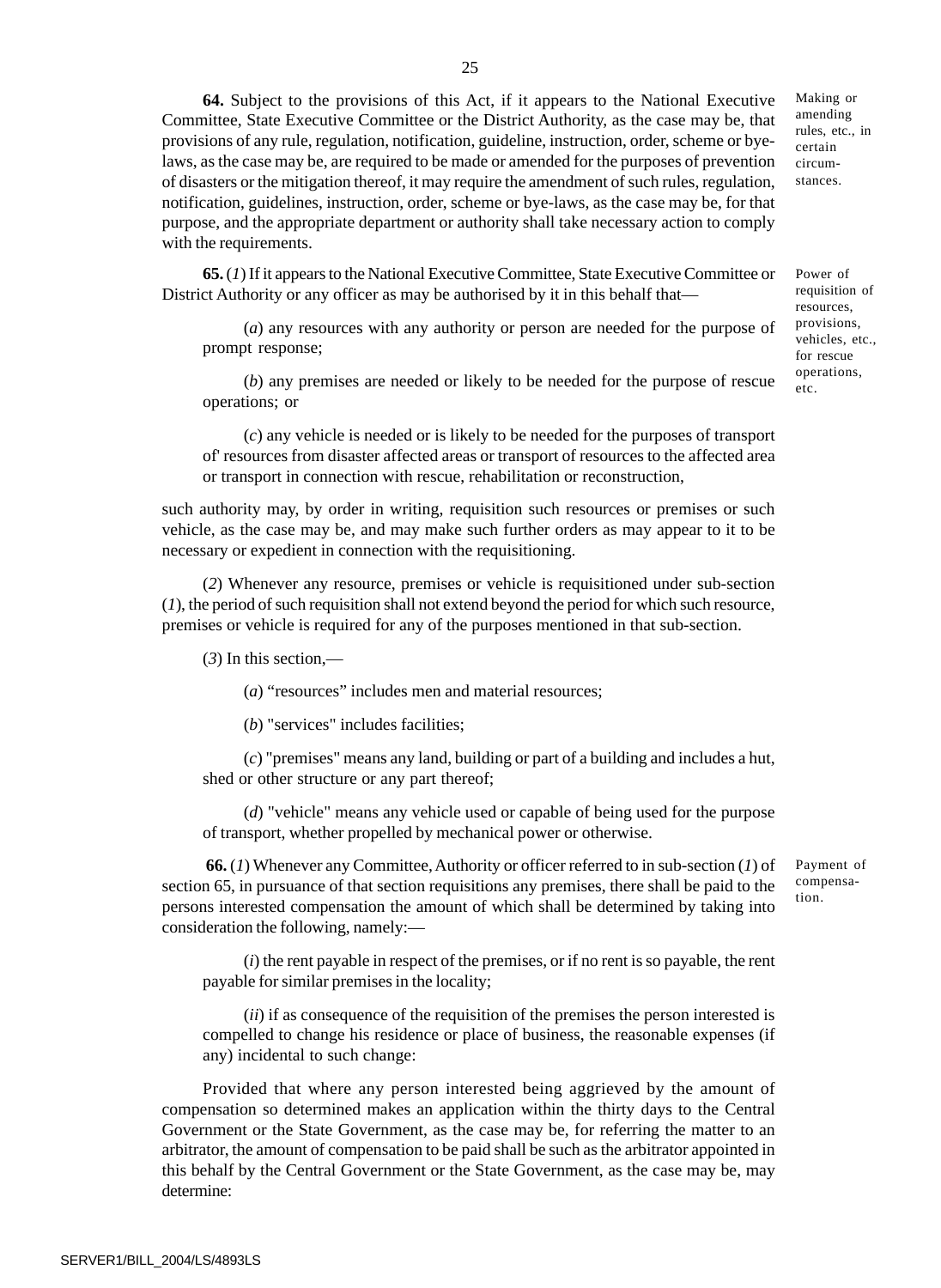**64.** Subject to the provisions of this Act, if it appears to the National Executive Committee, State Executive Committee or the District Authority, as the case may be, that provisions of any rule, regulation, notification, guideline, instruction, order, scheme or byelaws, as the case may be, are required to be made or amended for the purposes of prevention of disasters or the mitigation thereof, it may require the amendment of such rules, regulation, notification, guidelines, instruction, order, scheme or bye-laws, as the case may be, for that purpose, and the appropriate department or authority shall take necessary action to comply with the requirements.

**65.** (*1*) If it appears to the National Executive Committee, State Executive Committee or District Authority or any officer as may be authorised by it in this behalf that—

(*a*) any resources with any authority or person are needed for the purpose of prompt response;

(*b*) any premises are needed or likely to be needed for the purpose of rescue operations; or

(*c*) any vehicle is needed or is likely to be needed for the purposes of transport of' resources from disaster affected areas or transport of resources to the affected area or transport in connection with rescue, rehabilitation or reconstruction,

such authority may, by order in writing, requisition such resources or premises or such vehicle, as the case may be, and may make such further orders as may appear to it to be necessary or expedient in connection with the requisitioning.

(*2*) Whenever any resource, premises or vehicle is requisitioned under sub-section (*1*), the period of such requisition shall not extend beyond the period for which such resource, premises or vehicle is required for any of the purposes mentioned in that sub-section.

(*3*) In this section,—

(*a*) "resources" includes men and material resources;

(*b*) "services" includes facilities;

(*c*) "premises" means any land, building or part of a building and includes a hut, shed or other structure or any part thereof;

(*d*) "vehicle" means any vehicle used or capable of being used for the purpose of transport, whether propelled by mechanical power or otherwise.

 **66.** (*1*) Whenever any Committee, Authority or officer referred to in sub-section (*1*) of section 65, in pursuance of that section requisitions any premises, there shall be paid to the persons interested compensation the amount of which shall be determined by taking into consideration the following, namely:—

(*i*) the rent payable in respect of the premises, or if no rent is so payable, the rent payable for similar premises in the locality;

(*ii*) if as consequence of the requisition of the premises the person interested is compelled to change his residence or place of business, the reasonable expenses (if any) incidental to such change:

Provided that where any person interested being aggrieved by the amount of compensation so determined makes an application within the thirty days to the Central Government or the State Government, as the case may be, for referring the matter to an arbitrator, the amount of compensation to be paid shall be such as the arbitrator appointed in this behalf by the Central Government or the State Government, as the case may be, may determine:

amending rules, etc., in certain circumstances.

Making or

Power of requisition of resources, provisions, vehicles, etc., for rescue operations, etc.

Payment of compensation.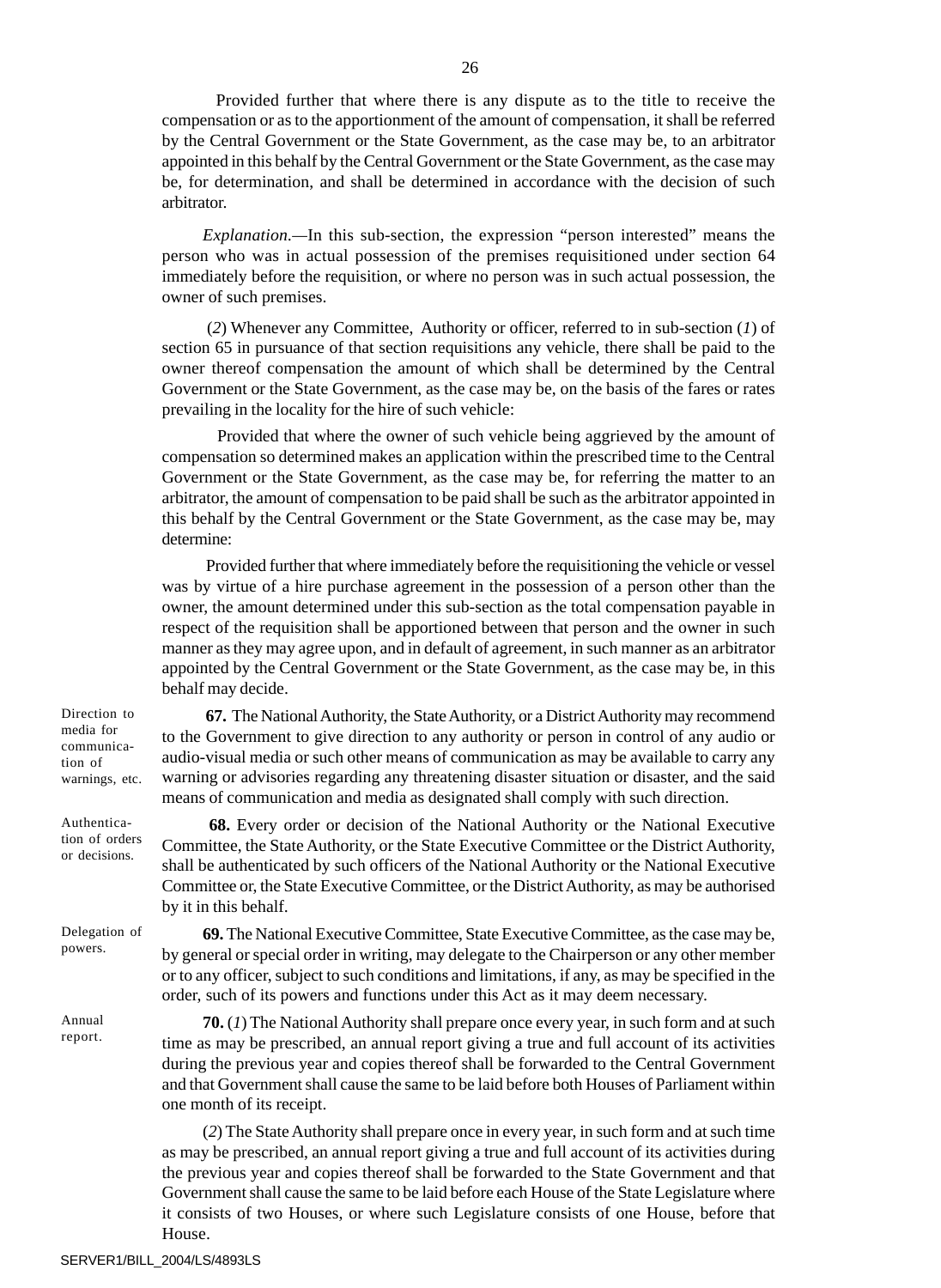Provided further that where there is any dispute as to the title to receive the compensation or as to the apportionment of the amount of compensation, it shall be referred by the Central Government or the State Government, as the case may be, to an arbitrator appointed in this behalf by the Central Government or the State Government, as the case may be, for determination, and shall be determined in accordance with the decision of such arbitrator.

*Explanation.—*In this sub-section, the expression "person interested" means the person who was in actual possession of the premises requisitioned under section 64 immediately before the requisition, or where no person was in such actual possession, the owner of such premises.

 (*2*) Whenever any Committee, Authority or officer, referred to in sub-section (*1*) of section 65 in pursuance of that section requisitions any vehicle, there shall be paid to the owner thereof compensation the amount of which shall be determined by the Central Government or the State Government, as the case may be, on the basis of the fares or rates prevailing in the locality for the hire of such vehicle:

 Provided that where the owner of such vehicle being aggrieved by the amount of compensation so determined makes an application within the prescribed time to the Central Government or the State Government, as the case may be, for referring the matter to an arbitrator, the amount of compensation to be paid shall be such as the arbitrator appointed in this behalf by the Central Government or the State Government, as the case may be, may determine:

 Provided further that where immediately before the requisitioning the vehicle or vessel was by virtue of a hire purchase agreement in the possession of a person other than the owner, the amount determined under this sub-section as the total compensation payable in respect of the requisition shall be apportioned between that person and the owner in such manner as they may agree upon, and in default of agreement, in such manner as an arbitrator appointed by the Central Government or the State Government, as the case may be, in this behalf may decide.

 **67.** The National Authority, the State Authority, or a District Authority may recommend to the Government to give direction to any authority or person in control of any audio or audio-visual media or such other means of communication as may be available to carry any

Direction to media for communication of warnings, etc.

Authentication of orders or decisions.

Delegation of powers.

by it in this behalf.

Annual report. warning or advisories regarding any threatening disaster situation or disaster, and the said means of communication and media as designated shall comply with such direction. **68.** Every order or decision of the National Authority or the National Executive Committee, the State Authority, or the State Executive Committee or the District Authority, shall be authenticated by such officers of the National Authority or the National Executive

Committee or, the State Executive Committee, or the District Authority, as may be authorised

**69.** The National Executive Committee, State Executive Committee, as the case may be, by general or special order in writing, may delegate to the Chairperson or any other member or to any officer, subject to such conditions and limitations, if any, as may be specified in the order, such of its powers and functions under this Act as it may deem necessary.

**70.** (*1*) The National Authority shall prepare once every year, in such form and at such time as may be prescribed, an annual report giving a true and full account of its activities during the previous year and copies thereof shall be forwarded to the Central Government and that Government shall cause the same to be laid before both Houses of Parliament within one month of its receipt.

(*2*) The State Authority shall prepare once in every year, in such form and at such time as may be prescribed, an annual report giving a true and full account of its activities during the previous year and copies thereof shall be forwarded to the State Government and that Government shall cause the same to be laid before each House of the State Legislature where it consists of two Houses, or where such Legislature consists of one House, before that House.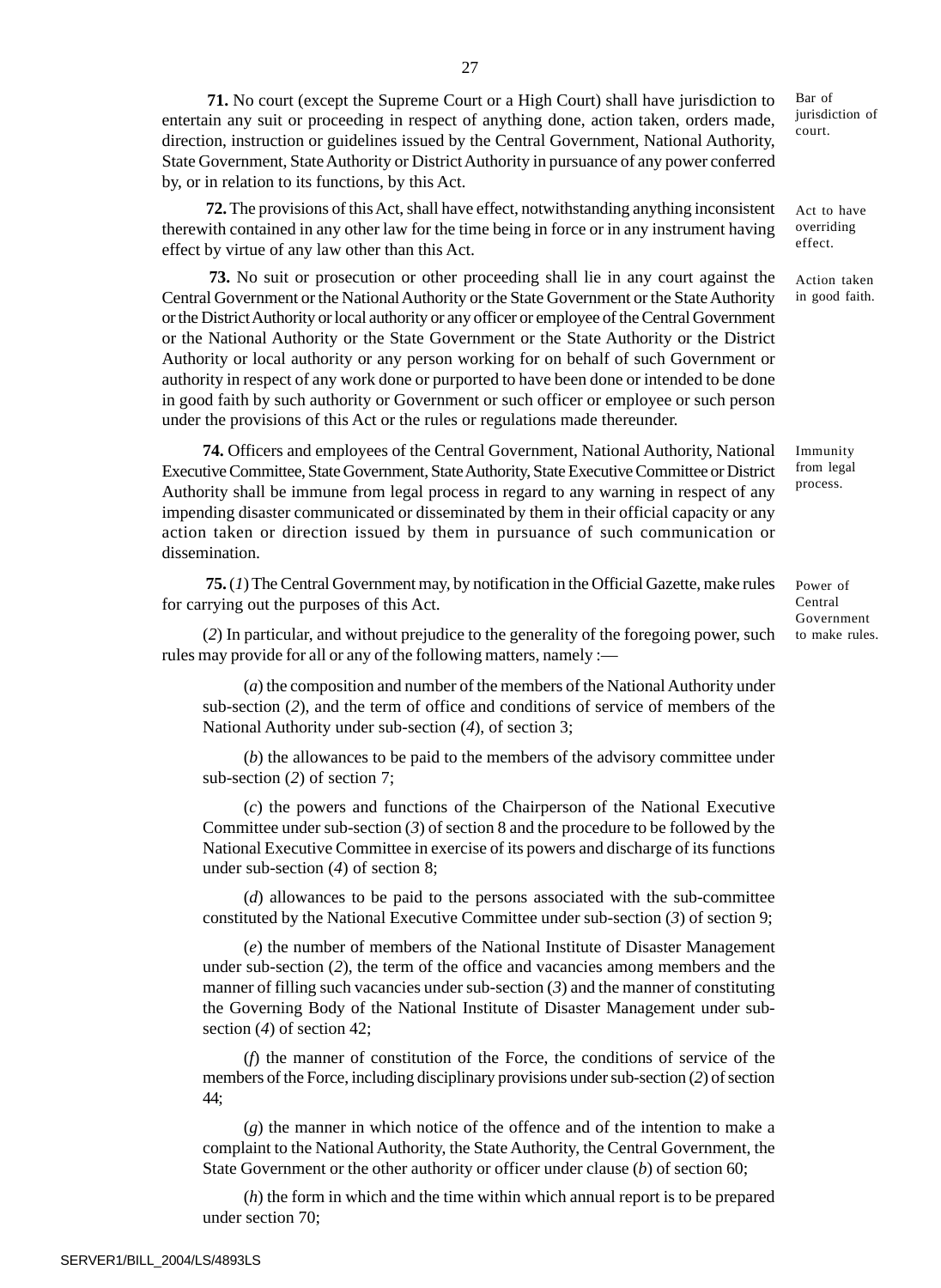**71.** No court (except the Supreme Court or a High Court) shall have jurisdiction to entertain any suit or proceeding in respect of anything done, action taken, orders made, direction, instruction or guidelines issued by the Central Government, National Authority, State Government, State Authority or District Authority in pursuance of any power conferred by, or in relation to its functions, by this Act.

**72.** The provisions of this Act, shall have effect, notwithstanding anything inconsistent therewith contained in any other law for the time being in force or in any instrument having effect by virtue of any law other than this Act.

**73.** No suit or prosecution or other proceeding shall lie in any court against the Central Government or the National Authority or the State Government or the State Authority or the District Authority or local authority or any officer or employee of the Central Government or the National Authority or the State Government or the State Authority or the District Authority or local authority or any person working for on behalf of such Government or authority in respect of any work done or purported to have been done or intended to be done in good faith by such authority or Government or such officer or employee or such person under the provisions of this Act or the rules or regulations made thereunder.

**74.** Officers and employees of the Central Government, National Authority, National Executive Committee, State Government, State Authority, State Executive Committee or District Authority shall be immune from legal process in regard to any warning in respect of any impending disaster communicated or disseminated by them in their official capacity or any action taken or direction issued by them in pursuance of such communication or dissemination.

 **75.** (*1*) The Central Government may, by notification in the Official Gazette, make rules for carrying out the purposes of this Act.

(*2*) In particular, and without prejudice to the generality of the foregoing power, such rules may provide for all or any of the following matters, namely :—

(*a*) the composition and number of the members of the National Authority under sub-section (*2*), and the term of office and conditions of service of members of the National Authority under sub-section (*4*), of section 3;

(*b*) the allowances to be paid to the members of the advisory committee under sub-section (*2*) of section 7;

(*c*) the powers and functions of the Chairperson of the National Executive Committee under sub-section (*3*) of section 8 and the procedure to be followed by the National Executive Committee in exercise of its powers and discharge of its functions under sub-section (*4*) of section 8;

(*d*) allowances to be paid to the persons associated with the sub-committee constituted by the National Executive Committee under sub-section (*3*) of section 9;

(*e*) the number of members of the National Institute of Disaster Management under sub-section (*2*), the term of the office and vacancies among members and the manner of filling such vacancies under sub-section (*3*) and the manner of constituting the Governing Body of the National Institute of Disaster Management under subsection (*4*) of section 42;

(*f*) the manner of constitution of the Force, the conditions of service of the members of the Force, including disciplinary provisions under sub-section (*2*) of section 44;

(*g*) the manner in which notice of the offence and of the intention to make a complaint to the National Authority, the State Authority, the Central Government, the State Government or the other authority or officer under clause (*b*) of section 60;

(*h*) the form in which and the time within which annual report is to be prepared under section 70;

Bar of jurisdiction of court.

Act to have overriding effect.

Action taken in good faith.

Immunity from legal process.

Power of Central Government to make rules.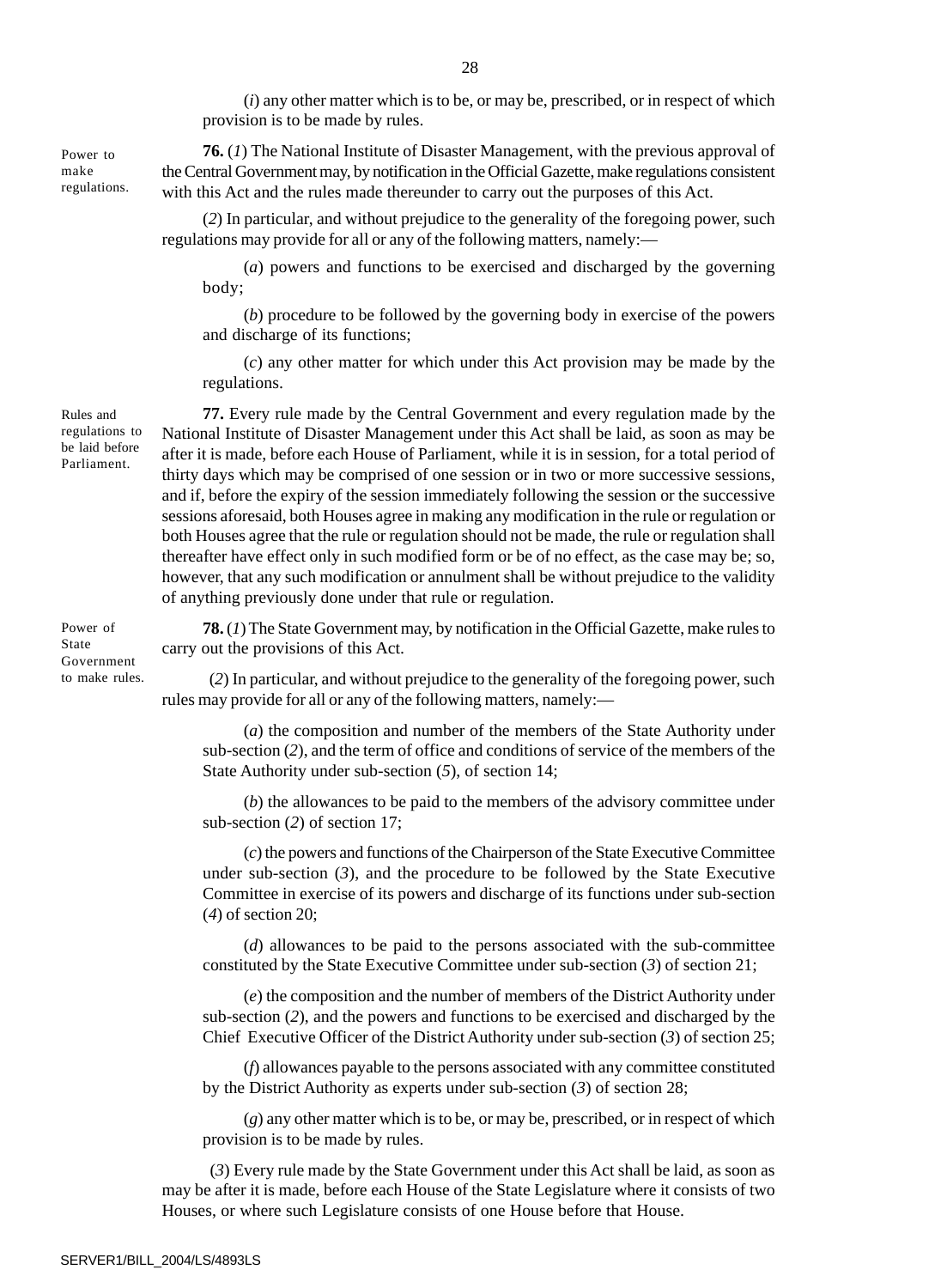(*i*) any other matter which is to be, or may be, prescribed, or in respect of which provision is to be made by rules.

**76.** (*1*) The National Institute of Disaster Management, with the previous approval of the Central Government may, by notification in the Official Gazette, make regulations consistent with this Act and the rules made thereunder to carry out the purposes of this Act.

(*2*) In particular, and without prejudice to the generality of the foregoing power, such regulations may provide for all or any of the following matters, namely:—

(*a*) powers and functions to be exercised and discharged by the governing body;

(*b*) procedure to be followed by the governing body in exercise of the powers and discharge of its functions;

(*c*) any other matter for which under this Act provision may be made by the regulations.

**77.** Every rule made by the Central Government and every regulation made by the National Institute of Disaster Management under this Act shall be laid, as soon as may be after it is made, before each House of Parliament, while it is in session, for a total period of thirty days which may be comprised of one session or in two or more successive sessions, and if, before the expiry of the session immediately following the session or the successive sessions aforesaid, both Houses agree in making any modification in the rule or regulation or both Houses agree that the rule or regulation should not be made, the rule or regulation shall thereafter have effect only in such modified form or be of no effect, as the case may be; so, however, that any such modification or annulment shall be without prejudice to the validity of anything previously done under that rule or regulation.

**78.** (*1*) The State Government may, by notification in the Official Gazette, make rules to carry out the provisions of this Act.

 (*2*) In particular, and without prejudice to the generality of the foregoing power, such rules may provide for all or any of the following matters, namely:—

(*a*) the composition and number of the members of the State Authority under sub-section (*2*), and the term of office and conditions of service of the members of the State Authority under sub-section (*5*), of section 14;

(*b*) the allowances to be paid to the members of the advisory committee under sub-section (*2*) of section 17;

(*c*) the powers and functions of the Chairperson of the State Executive Committee under sub-section (*3*), and the procedure to be followed by the State Executive Committee in exercise of its powers and discharge of its functions under sub-section (*4*) of section 20;

(*d*) allowances to be paid to the persons associated with the sub-committee constituted by the State Executive Committee under sub-section (*3*) of section 21;

(*e*) the composition and the number of members of the District Authority under sub-section (*2*), and the powers and functions to be exercised and discharged by the Chief Executive Officer of the District Authority under sub-section (*3*) of section 25;

(*f*) allowances payable to the persons associated with any committee constituted by the District Authority as experts under sub-section (*3*) of section 28;

(*g*) any other matter which is to be, or may be, prescribed, or in respect of which provision is to be made by rules.

 (*3*) Every rule made by the State Government under this Act shall be laid, as soon as may be after it is made, before each House of the State Legislature where it consists of two Houses, or where such Legislature consists of one House before that House.

Power to make regulations.

regulations to be laid before Parliament.

Rules and

Power of State Government to make rules.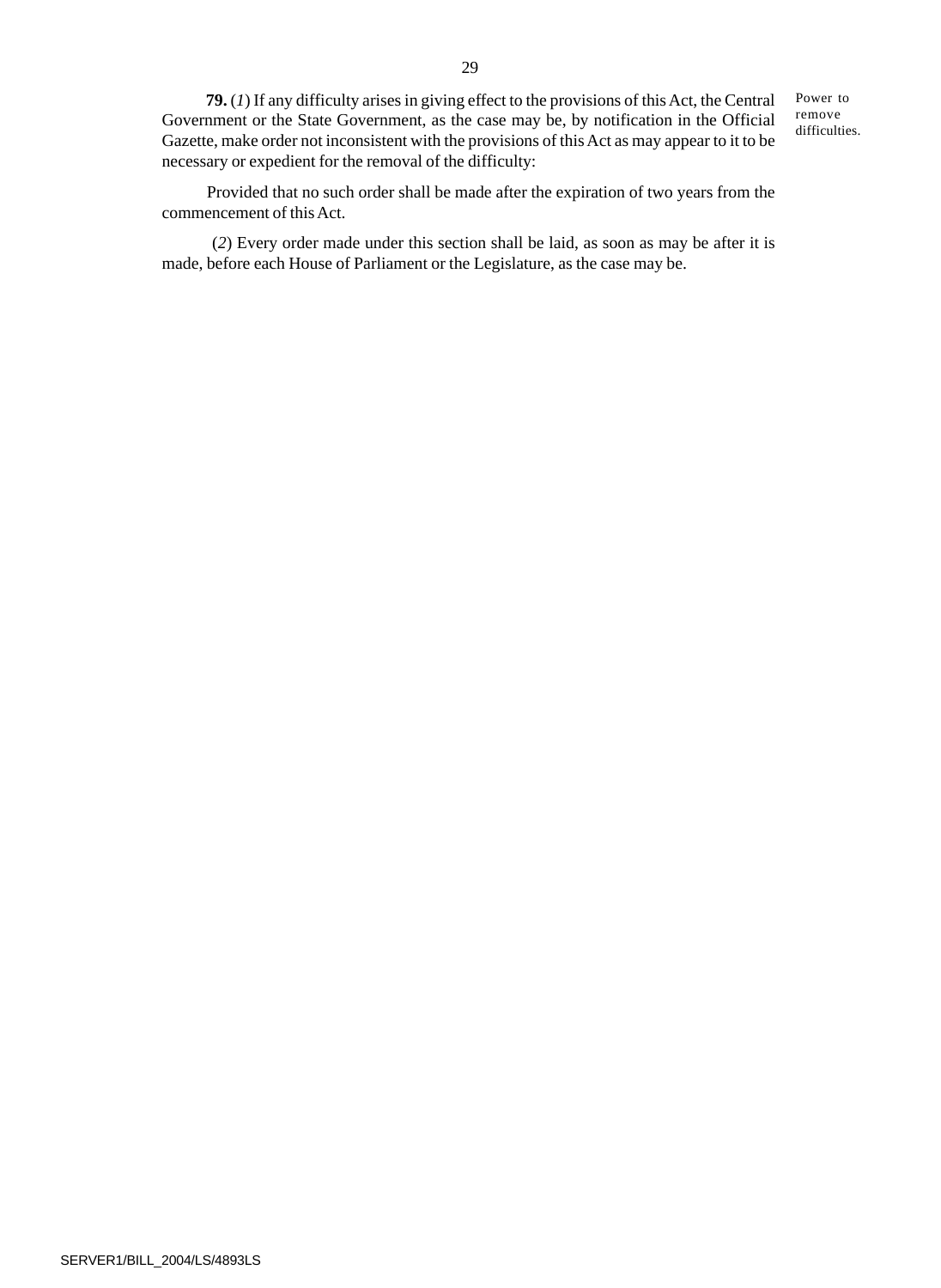**79.** (*1*) If any difficulty arises in giving effect to the provisions of this Act, the Central Government or the State Government, as the case may be, by notification in the Official Gazette, make order not inconsistent with the provisions of this Act as may appear to it to be necessary or expedient for the removal of the difficulty:

Power to remove difficulties.

 Provided that no such order shall be made after the expiration of two years from the commencement of this Act.

 (*2*) Every order made under this section shall be laid, as soon as may be after it is made, before each House of Parliament or the Legislature, as the case may be.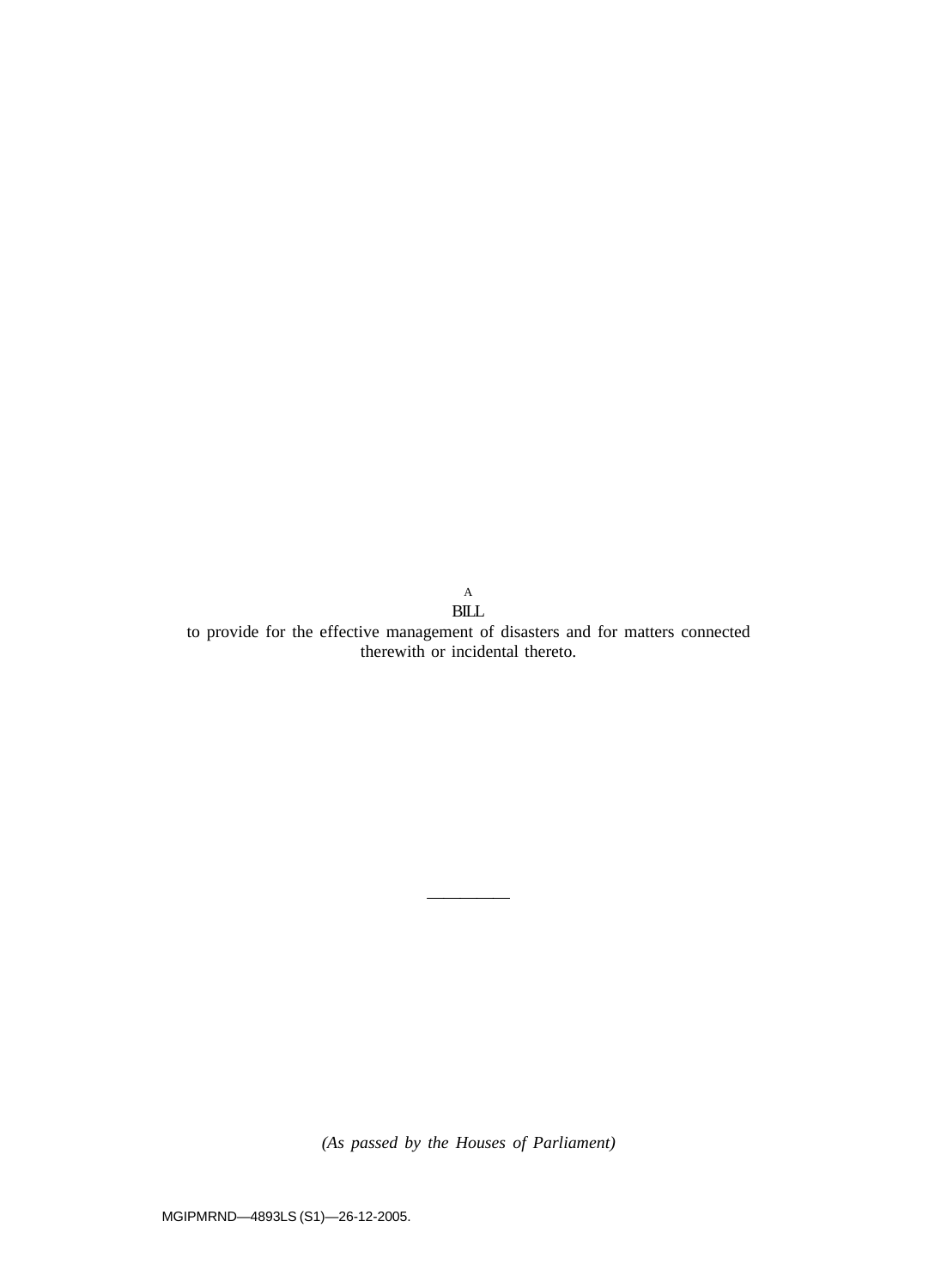$\operatorname{BILL}$ to provide for the effective management of disasters and for matters connected therewith or incidental thereto.

A

*(As passed by the Houses of Parliament)*

—————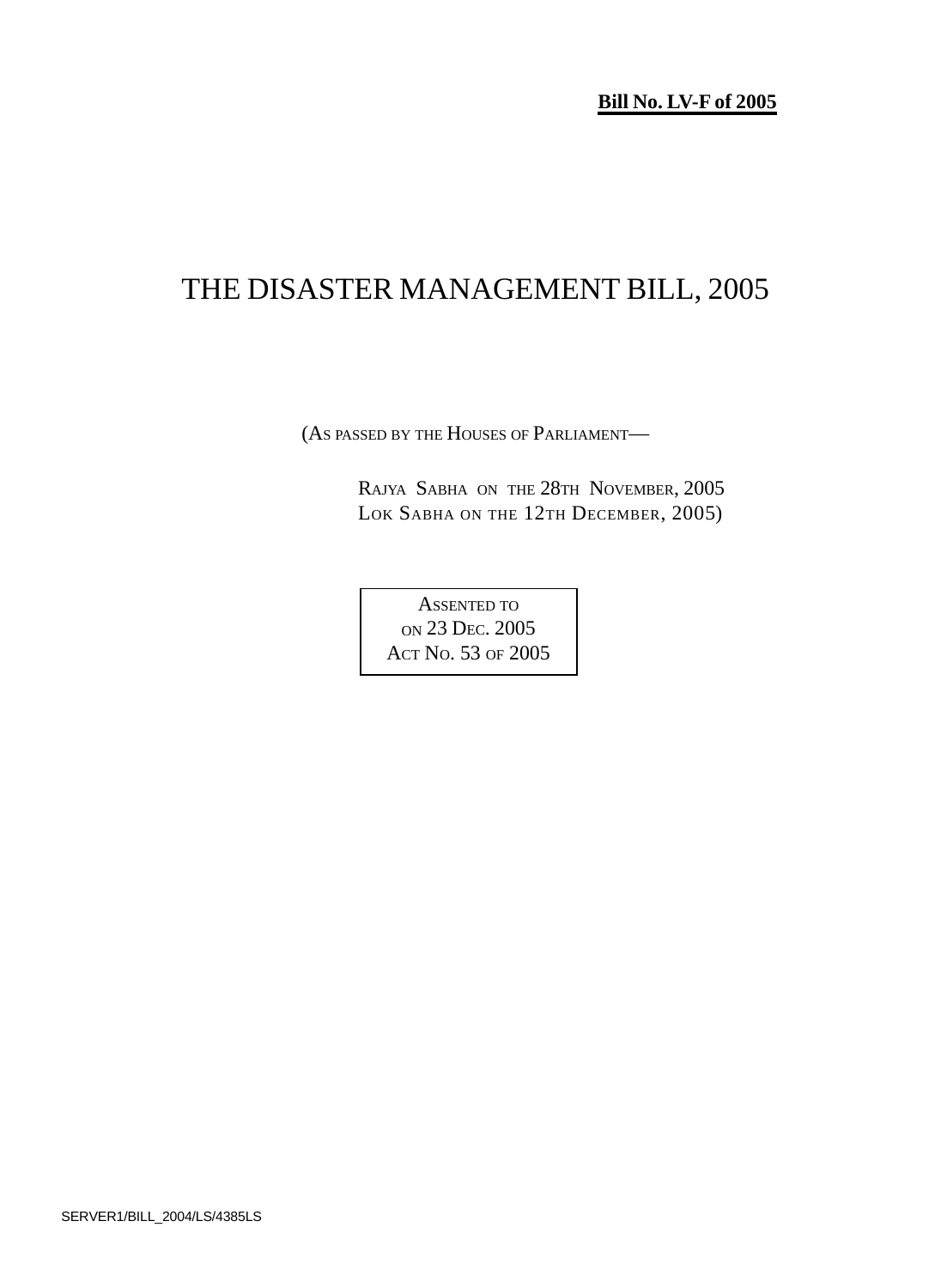**Bill No. LV-F of 2005**

# THE DISASTER MANAGEMENT BILL, 2005

(AS PASSED BY THE HOUSES OF PARLIAMENT—

RAJYA SABHA ON THE 28TH NOVEMBER, 2005 LOK SABHA ON THE 12TH DECEMBER, 2005)

ASSENTED TO ON 23 DEC. 2005 ACT NO. 53 OF 2005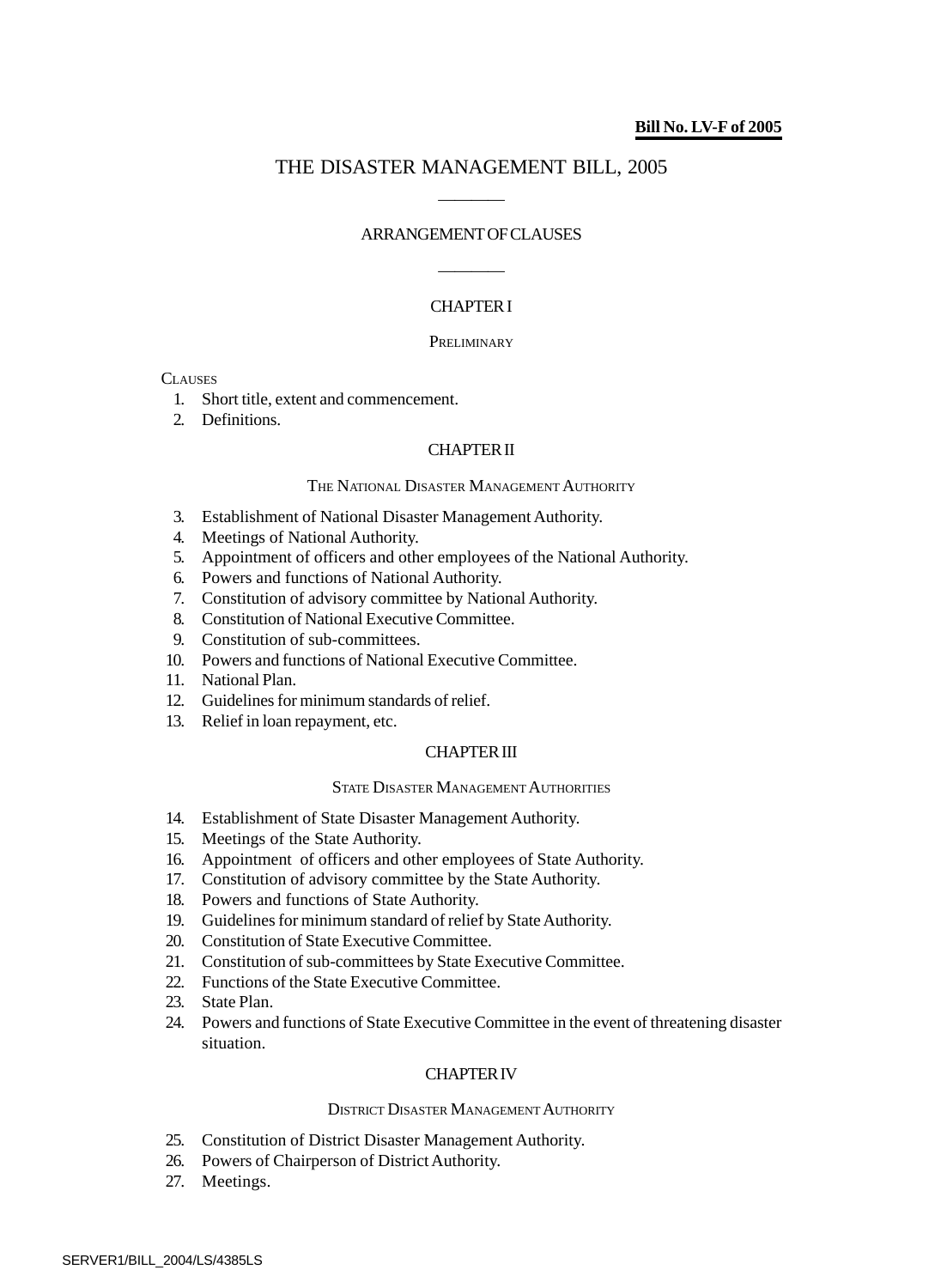## THE DISASTER MANAGEMENT BILL, 2005 ————

## ARRANGEMENT OF CLAUSES

————

## CHAPTER I

## **PRELIMINARY**

## **CLAUSES**

- 1. Short title, extent and commencement.
- 2. Definitions.

## CHAPTER II

## THE NATIONAL DISASTER MANAGEMENT AUTHORITY

- 3. Establishment of National Disaster Management Authority.
- 4. Meetings of National Authority.
- 5. Appointment of officers and other employees of the National Authority.
- 6. Powers and functions of National Authority.
- 7. Constitution of advisory committee by National Authority.
- 8. Constitution of National Executive Committee.
- 9. Constitution of sub-committees.
- 10. Powers and functions of National Executive Committee.
- 11. National Plan.
- 12. Guidelines for minimum standards of relief.
- 13. Relief in loan repayment, etc.

## CHAPTER III

## STATE DISASTER MANAGEMENT AUTHORITIES

- 14. Establishment of State Disaster Management Authority.
- 15. Meetings of the State Authority.
- 16. Appointment of officers and other employees of State Authority.
- 17. Constitution of advisory committee by the State Authority.
- 18. Powers and functions of State Authority.
- 19. Guidelines for minimum standard of relief by State Authority.
- 20. Constitution of State Executive Committee.
- 21. Constitution of sub-committees by State Executive Committee.
- 22. Functions of the State Executive Committee.
- 23. State Plan.
- 24. Powers and functions of State Executive Committee in the event of threatening disaster situation.

## CHAPTER IV

## DISTRICT DISASTER MANAGEMENT AUTHORITY

- 25. Constitution of District Disaster Management Authority.
- 26. Powers of Chairperson of District Authority.
- 27. Meetings.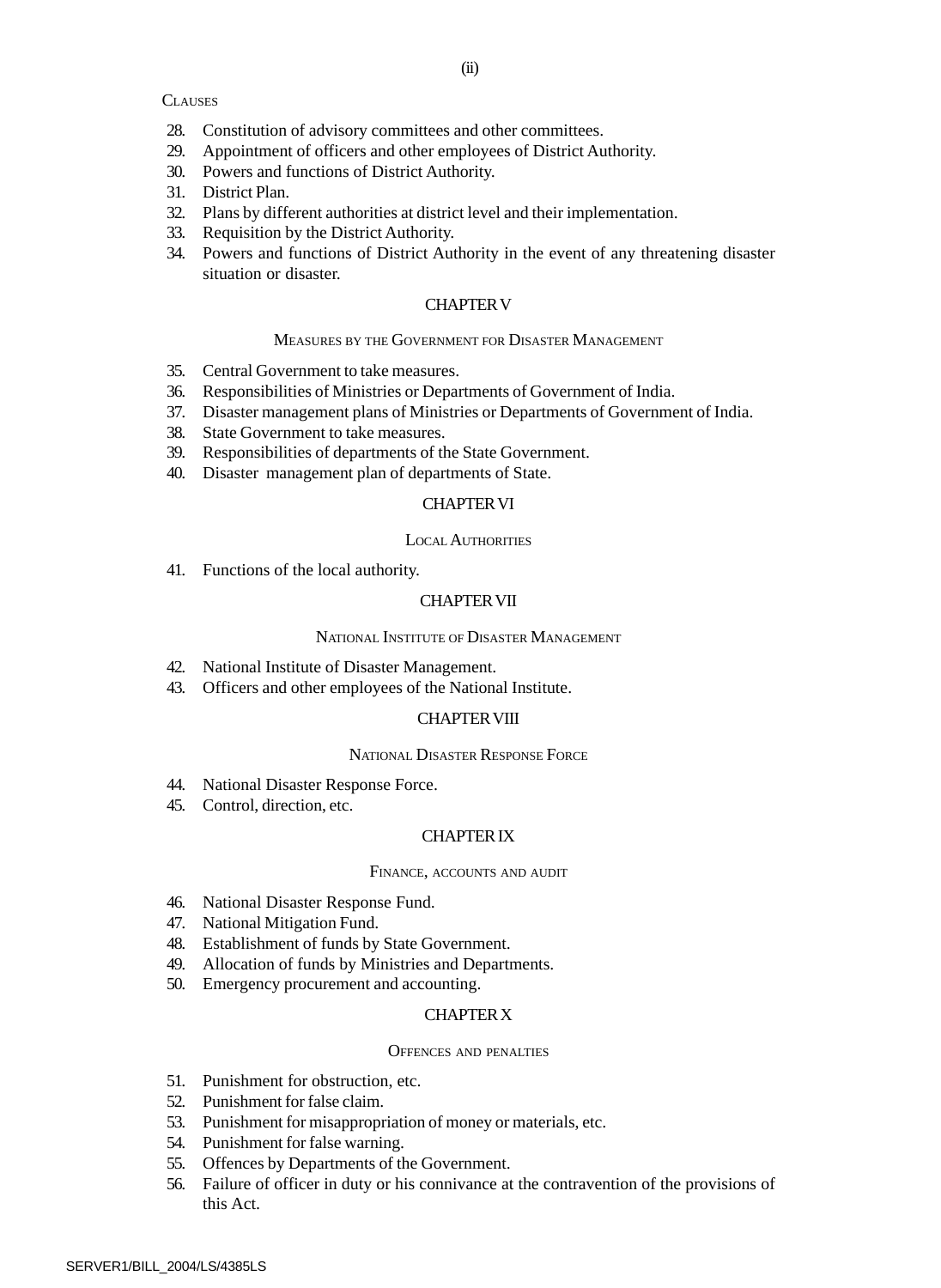## **CLAUSES**

- 28. Constitution of advisory committees and other committees.
- 29. Appointment of officers and other employees of District Authority.
- 30. Powers and functions of District Authority.
- 31. District Plan.
- 32. Plans by different authorities at district level and their implementation.
- 33. Requisition by the District Authority.
- 34. Powers and functions of District Authority in the event of any threatening disaster situation or disaster.

#### CHAPTER V

## MEASURES BY THE GOVERNMENT FOR DISASTER MANAGEMENT

- 35. Central Government to take measures.
- 36. Responsibilities of Ministries or Departments of Government of India.
- 37. Disaster management plans of Ministries or Departments of Government of India.
- 38. State Government to take measures.
- 39. Responsibilities of departments of the State Government.
- 40. Disaster management plan of departments of State.

## CHAPTER VI

#### LOCAL AUTHORITIES

41. Functions of the local authority.

## CHAPTER VII

#### NATIONAL INSTITUTE OF DISASTER MANAGEMENT

- 42. National Institute of Disaster Management.
- 43. Officers and other employees of the National Institute.

## CHAPTER VIII

## NATIONAL DISASTER RESPONSE FORCE

- 44. National Disaster Response Force.
- 45. Control, direction, etc.

## CHAPTER IX

## FINANCE, ACCOUNTS AND AUDIT

- 46. National Disaster Response Fund.
- 47. National Mitigation Fund.
- 48. Establishment of funds by State Government.
- 49. Allocation of funds by Ministries and Departments.
- 50. Emergency procurement and accounting.

## CHAPTER X

#### OFFENCES AND PENALTIES

- 51. Punishment for obstruction, etc.
- 52. Punishment for false claim.
- 53. Punishment for misappropriation of money or materials, etc.
- 54. Punishment for false warning.
- 55. Offences by Departments of the Government.
- 56. Failure of officer in duty or his connivance at the contravention of the provisions of this Act.